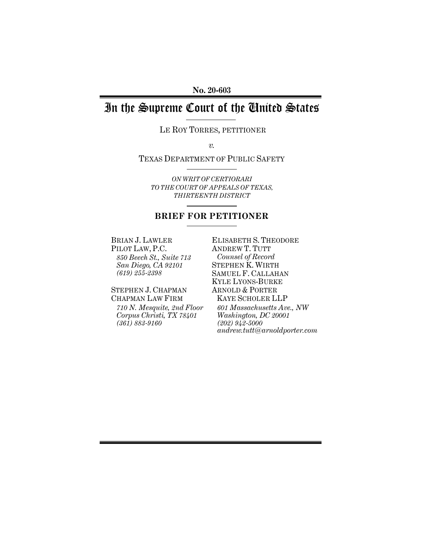**No. 20-603** 

# In the Supreme Court of the United States

LE ROY TORRES, PETITIONER

*v.* 

TEXAS DEPARTMENT OF PUBLIC SAFETY

*ON WRIT OF CERTIORARI TO THE COURT OF APPEALS OF TEXAS, THIRTEENTH DISTRICT*

# **BRIEF FOR PETITIONER**

BRIAN J. LAWLER PILOT LAW, P.C. *850 Beech St., Suite 713 San Diego, CA 92101 (619) 255-2398* 

STEPHEN J. CHAPMAN CHAPMAN LAW FIRM *710 N. Mesquite, 2nd Floor Corpus Christi, TX 78401 (361) 883-9160* 

ELISABETH S. THEODORE ANDREW T. TUTT *Counsel of Record*  STEPHEN K. WIRTH SAMUEL F. CALLAHAN KYLE LYONS-BURKE ARNOLD & PORTER KAYE SCHOLER LLP *601 Massachusetts Ave., NW Washington, DC 20001 (202) 942-5000 andrew.tutt@arnoldporter.com*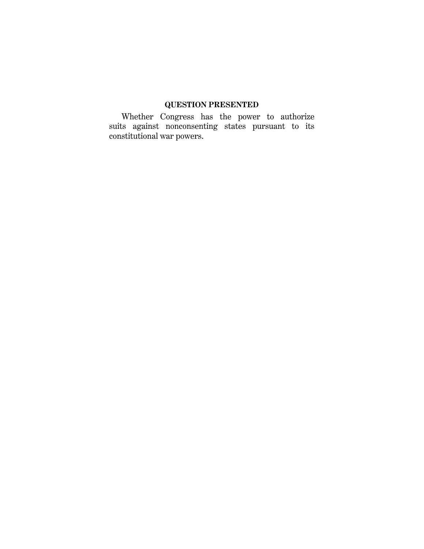# **QUESTION PRESENTED**

Whether Congress has the power to authorize suits against nonconsenting states pursuant to its constitutional war powers.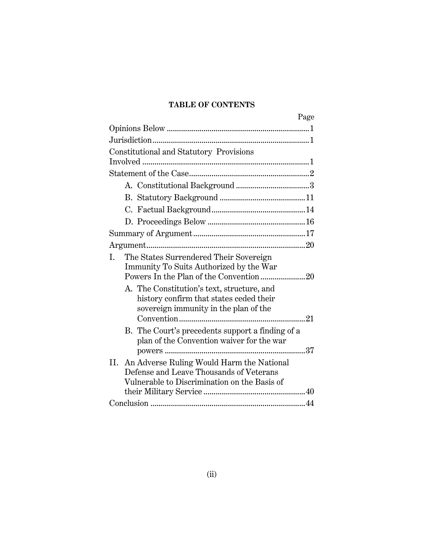# **TABLE OF CONTENTS**

| Page                                                                                                                                       |  |
|--------------------------------------------------------------------------------------------------------------------------------------------|--|
|                                                                                                                                            |  |
|                                                                                                                                            |  |
| Constitutional and Statutory Provisions                                                                                                    |  |
|                                                                                                                                            |  |
|                                                                                                                                            |  |
|                                                                                                                                            |  |
|                                                                                                                                            |  |
|                                                                                                                                            |  |
|                                                                                                                                            |  |
|                                                                                                                                            |  |
|                                                                                                                                            |  |
| The States Surrendered Their Sovereign<br>L<br>Immunity To Suits Authorized by the War                                                     |  |
| A. The Constitution's text, structure, and<br>history confirm that states ceded their<br>sovereign immunity in the plan of the             |  |
| B. The Court's precedents support a finding of a<br>plan of the Convention waiver for the war                                              |  |
| An Adverse Ruling Would Harm the National<br>Н.<br>Defense and Leave Thousands of Veterans<br>Vulnerable to Discrimination on the Basis of |  |
|                                                                                                                                            |  |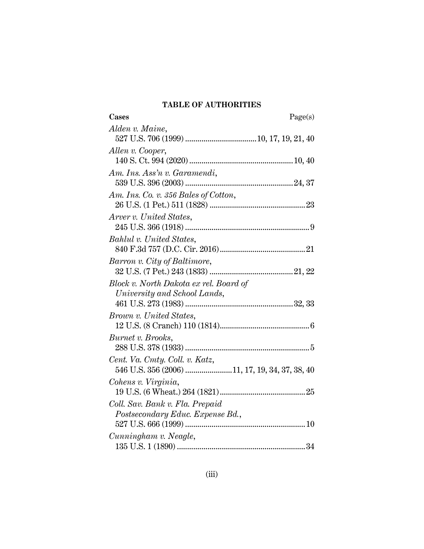# **TABLE OF AUTHORITIES**

| Cases                                          | Page(s) |
|------------------------------------------------|---------|
| Alden v. Maine,                                |         |
|                                                |         |
| Allen v. Cooper,                               |         |
|                                                |         |
| Am. Ins. Ass'n v. Garamendi,                   |         |
|                                                |         |
| Am. Ins. Co. v. 356 Bales of Cotton,           |         |
|                                                |         |
| Arver v. United States,                        |         |
|                                                |         |
| Bahlul v. United States,                       |         |
|                                                |         |
| Barron v. City of Baltimore,                   |         |
|                                                |         |
| Block v. North Dakota ex rel. Board of         |         |
| University and School Lands,                   |         |
|                                                |         |
| Brown v. United States,                        |         |
|                                                |         |
| Burnet v. Brooks,                              |         |
|                                                |         |
| Cent. Va. Cmty. Coll. v. Katz,                 |         |
| 546 U.S. 356 (2006) 11, 17, 19, 34, 37, 38, 40 |         |
| Cohens v. Virginia,                            |         |
|                                                |         |
| Coll. Sav. Bank v. Fla. Prepaid                |         |
| Postsecondary Educ. Expense Bd.,               |         |
|                                                |         |
| Cunningham v. Neagle,                          |         |
|                                                |         |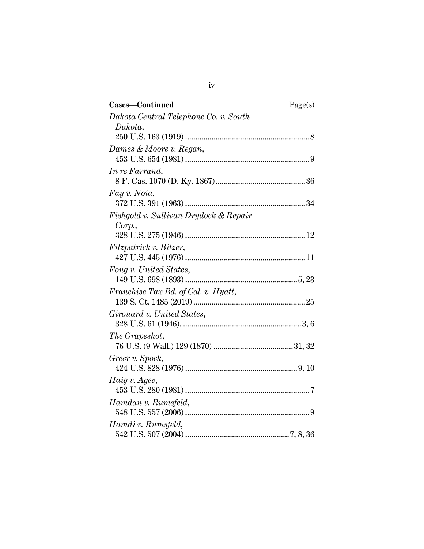| Cases-Continued                       | Page(s) |
|---------------------------------------|---------|
| Dakota Central Telephone Co. v. South |         |
| Dakota,                               |         |
|                                       |         |
| Dames & Moore v. Regan,               |         |
|                                       |         |
| In re Farrand,                        |         |
|                                       |         |
| Fay v. Noia,                          |         |
|                                       |         |
| Fishgold v. Sullivan Drydock & Repair |         |
| Corp.                                 |         |
|                                       |         |
| Fitzpatrick v. Bitzer,                |         |
|                                       |         |
| Fong v. United States,                |         |
|                                       |         |
| Franchise Tax Bd. of Cal. v. Hyatt,   |         |
|                                       |         |
| Girouard v. United States,            |         |
|                                       |         |
| The Grapeshot,                        |         |
|                                       |         |
| Greer v. Spock,                       |         |
|                                       |         |
| Haig v. Agee,                         |         |
|                                       |         |
| Hamdan v. Rumsfeld,                   |         |
|                                       |         |
| Hamdi v. Rumsfeld,                    |         |
|                                       |         |

iv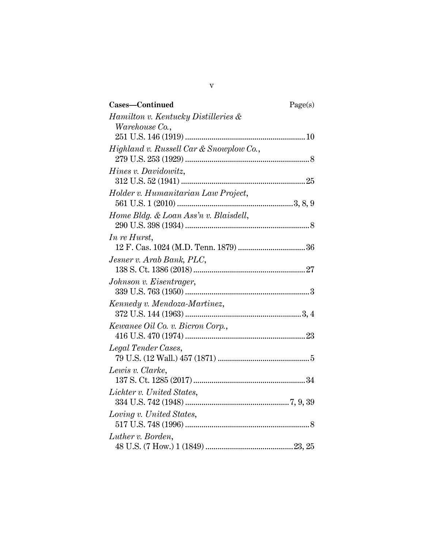| Cases-Continued                         | Page(s) |
|-----------------------------------------|---------|
| Hamilton v. Kentucky Distilleries &     |         |
| <i>Warehouse</i> Co.,                   |         |
|                                         |         |
| Highland v. Russell Car & Snowplow Co., |         |
|                                         |         |
| Hines v. Davidowitz,                    |         |
|                                         |         |
| Holder v. Humanitarian Law Project,     |         |
|                                         |         |
| Home Bldg. & Loan Ass'n v. Blaisdell,   |         |
|                                         |         |
| In re Hurst,                            |         |
|                                         |         |
| Jesner v. Arab Bank, PLC,               |         |
|                                         |         |
| Johnson v. Eisentrager,                 |         |
|                                         |         |
| Kennedy v. Mendoza-Martinez,            |         |
| Kewanee Oil Co. v. Bicron Corp.,        |         |
|                                         |         |
| Legal Tender Cases,                     |         |
|                                         |         |
| Lewis v. Clarke,                        |         |
|                                         |         |
| Lichter v. United States,               |         |
|                                         |         |
| Loving v. United States,                |         |
|                                         |         |
| Luther v. Borden,                       |         |
|                                         |         |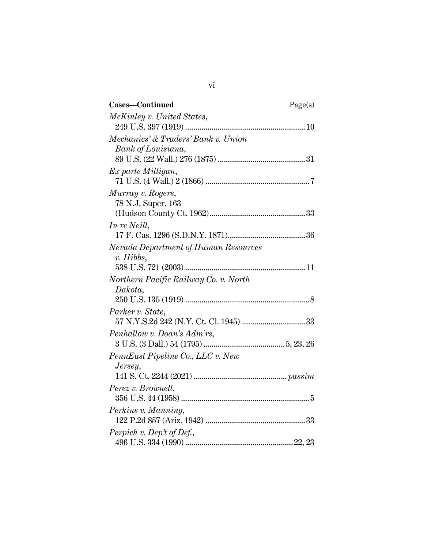| Cases-Continued                       | Page(s) |
|---------------------------------------|---------|
| McKinley v. United States,            |         |
|                                       |         |
| Mechanics' & Traders' Bank v. Union   |         |
| Bank of Louisiana,                    |         |
|                                       |         |
| Ex parte Milligan,                    |         |
|                                       |         |
| Murray v. Rogers,                     |         |
| 78 N.J. Super. 163                    |         |
|                                       |         |
| In re Neill,                          |         |
|                                       |         |
| Nevada Department of Human Resources  |         |
| $v.$ Hibbs,                           |         |
|                                       |         |
| Northern Pacific Railway Co. v. North |         |
| Dakota,                               |         |
|                                       |         |
| Parker v. State,                      |         |
|                                       |         |
| Penhallow v. Doan's Adm'rs,           |         |
|                                       |         |
| PennEast Pipeline Co., LLC v. New     |         |
| Jersey,                               |         |
|                                       |         |
| Perez v. Brownell,                    |         |
|                                       |         |
| Perkins v. Manning,                   |         |
|                                       |         |
| Perpich v. Dep't of Def.,             |         |
|                                       |         |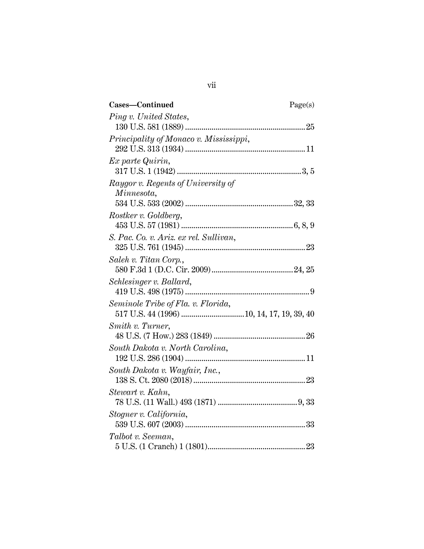| Cases-Continued                        | Page(s) |
|----------------------------------------|---------|
| Ping v. United States,                 |         |
|                                        |         |
| Principality of Monaco v. Mississippi, |         |
|                                        |         |
| Ex parte Quirin,                       |         |
|                                        |         |
| Raygor v. Regents of University of     |         |
| Minnesota,                             |         |
|                                        |         |
| Rostker v. Goldberg,                   |         |
|                                        |         |
| S. Pac. Co. v. Ariz. ex rel. Sullivan, |         |
| Saleh v. Titan Corp.,                  |         |
|                                        |         |
| Schlesinger v. Ballard,                |         |
|                                        |         |
| Seminole Tribe of Fla. v. Florida,     |         |
|                                        |         |
| Smith v. Turner,                       |         |
|                                        |         |
| South Dakota v. North Carolina,        |         |
|                                        |         |
| South Dakota v. Wayfair, Inc.,         |         |
|                                        |         |
| Stewart v. Kahn,                       |         |
|                                        |         |
| Stogner v. California,                 |         |
|                                        |         |
| Talbot v. Seeman,                      |         |
|                                        |         |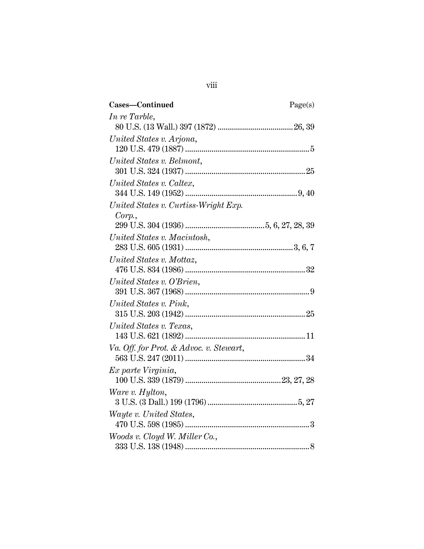| Cases-Continued                         | Page(s) |
|-----------------------------------------|---------|
| In re Tarble,                           |         |
|                                         |         |
| United States v. Arjona,                |         |
|                                         |         |
| United States v. Belmont,               |         |
|                                         |         |
| United States v. Caltex,                |         |
|                                         |         |
| United States v. Curtiss-Wright Exp.    |         |
| Corp.                                   |         |
|                                         |         |
| United States v. Macintosh,             |         |
|                                         |         |
| United States v. Mottaz,                |         |
|                                         |         |
| United States v. O'Brien,               |         |
|                                         |         |
| United States v. Pink,                  |         |
|                                         |         |
| United States v. Texas,                 |         |
|                                         |         |
| Va. Off. for Prot. & Advoc. v. Stewart, |         |
|                                         |         |
| Ex parte Virginia,                      |         |
|                                         |         |
| Ware v. Hylton,                         |         |
|                                         |         |
| Wayte v. United States,                 |         |
|                                         |         |
| Woods v. Cloyd W. Miller Co.,           |         |
|                                         |         |

viii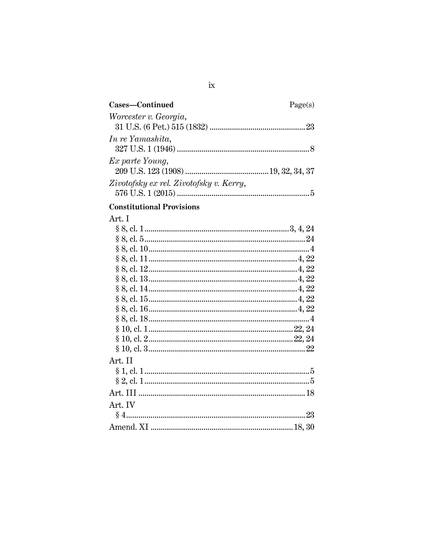| Cases-Continued                         | Page(s) |
|-----------------------------------------|---------|
| Worcester v. Georgia,                   |         |
| In re Yamashita,                        |         |
| Ex parte Young,                         |         |
| Zivotofsky ex rel. Zivotofsky v. Kerry, |         |

# **Constitutional Provisions**

# Art. I

| Art. II |  |
|---------|--|
|         |  |
|         |  |
|         |  |
| Art. IV |  |
|         |  |
|         |  |
|         |  |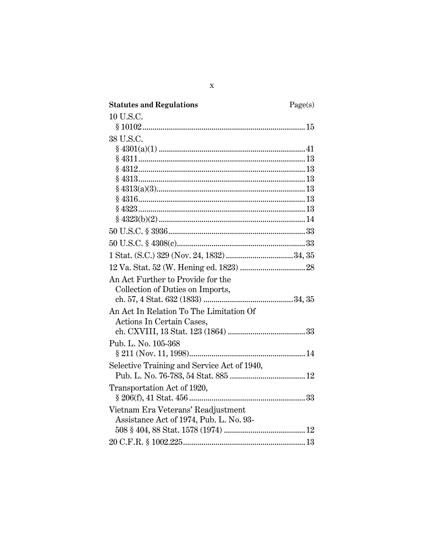| <b>Statutes and Regulations</b>             | Page(s) |
|---------------------------------------------|---------|
| 10 U.S.C.                                   |         |
|                                             |         |
| 38 U.S.C.                                   |         |
|                                             |         |
|                                             |         |
|                                             |         |
|                                             |         |
|                                             |         |
|                                             |         |
|                                             |         |
|                                             |         |
|                                             |         |
|                                             |         |
|                                             |         |
|                                             |         |
| An Act Further to Provide for the           |         |
| Collection of Duties on Imports,            |         |
|                                             |         |
| An Act In Relation To The Limitation Of     |         |
| Actions In Certain Cases,                   |         |
|                                             |         |
| Pub. L. No. 105-368                         |         |
|                                             |         |
| Selective Training and Service Act of 1940, |         |
|                                             |         |
| Transportation Act of 1920,                 |         |
|                                             |         |
| Vietnam Era Veterans' Readjustment          |         |
| Assistance Act of 1974, Pub. L. No. 93-     |         |
|                                             |         |
|                                             |         |
|                                             |         |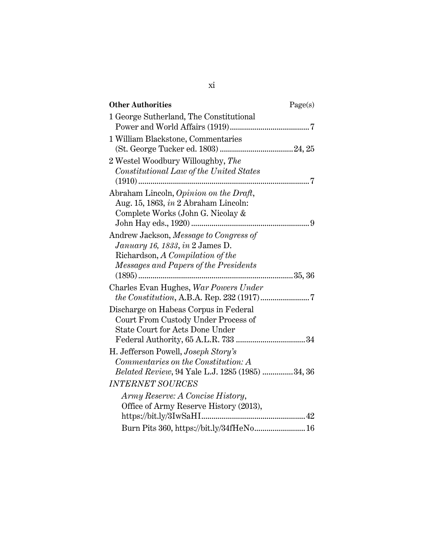| <b>Other Authorities</b>                                                                                                                               | Page(s) |
|--------------------------------------------------------------------------------------------------------------------------------------------------------|---------|
| 1 George Sutherland, The Constitutional                                                                                                                |         |
| 1 William Blackstone, Commentaries                                                                                                                     |         |
| 2 Westel Woodbury Willoughby, The<br>Constitutional Law of the United States                                                                           |         |
| Abraham Lincoln, Opinion on the Draft,<br>Aug. 15, 1863, in 2 Abraham Lincoln:<br>Complete Works (John G. Nicolay &                                    |         |
| Andrew Jackson, Message to Congress of<br>January 16, 1833, in 2 James D.<br>Richardson, A Compilation of the<br>Messages and Papers of the Presidents |         |
| Charles Evan Hughes, War Powers Under                                                                                                                  |         |
| Discharge on Habeas Corpus in Federal<br>Court From Custody Under Process of<br><b>State Court for Acts Done Under</b>                                 |         |
| H. Jefferson Powell, <i>Joseph Story's</i><br>Commentaries on the Constitution: A<br>Belated Review, 94 Yale L.J. 1285 (1985) 34, 36                   |         |
| <b>INTERNET SOURCES</b>                                                                                                                                |         |
| Army Reserve: A Concise History,<br>Office of Army Reserve History (2013),                                                                             |         |
| Burn Pits 360, https://bit.ly/34fHeNo 16                                                                                                               |         |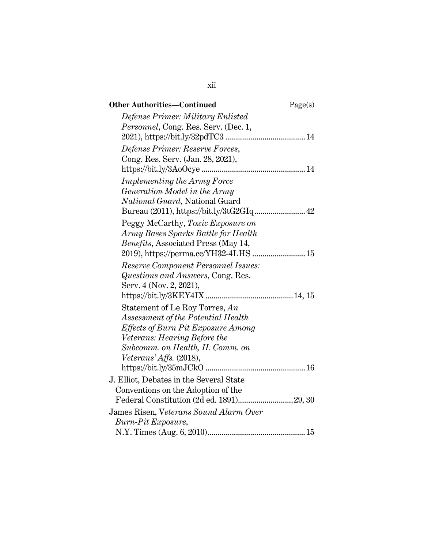| <b>Other Authorities-Continued</b>           | Page(s) |
|----------------------------------------------|---------|
| Defense Primer: Military Enlisted            |         |
| <i>Personnel</i> , Cong. Res. Serv. (Dec. 1, |         |
|                                              |         |
| Defense Primer: Reserve Forces,              |         |
| Cong. Res. Serv. (Jan. 28, 2021),            |         |
|                                              |         |
| <i>Implementing the Army Force</i>           |         |
| Generation Model in the Army                 |         |
| National Guard, National Guard               |         |
|                                              |         |
| Peggy McCarthy, Toxic Exposure on            |         |
| Army Bases Sparks Battle for Health          |         |
| <i>Benefits</i> , Associated Press (May 14,  |         |
| 2019), https://perma.cc/YH32-4LHS  15        |         |
| Reserve Component Personnel Issues:          |         |
| Questions and Answers, Cong. Res.            |         |
| Serv. 4 (Nov. 2, 2021),                      |         |
|                                              |         |
| Statement of Le Roy Torres, An               |         |
| Assessment of the Potential Health           |         |
| Effects of Burn Pit Exposure Among           |         |
| Veterans: Hearing Before the                 |         |
| Subcomm. on Health, H. Comm. on              |         |
| Veterans' Affs. (2018),                      |         |
|                                              |         |
| J. Elliot, Debates in the Several State      |         |
| Conventions on the Adoption of the           |         |
|                                              |         |
| James Risen, Veterans Sound Alarm Over       |         |
| Burn-Pit Exposure,                           |         |
|                                              |         |

xii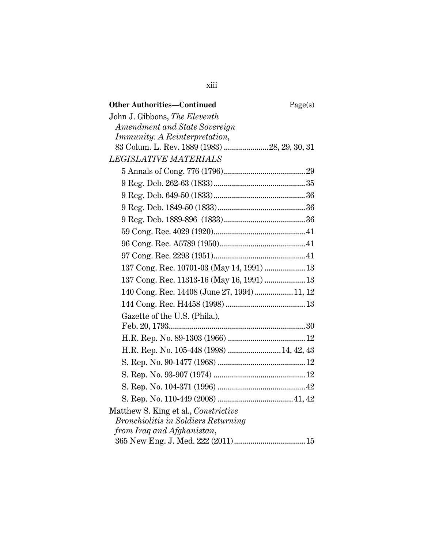| <b>Other Authorities-Continued</b>            | Page(s) |
|-----------------------------------------------|---------|
| John J. Gibbons, The Eleventh                 |         |
| Amendment and State Sovereign                 |         |
| <i>Immunity: A Reinterpretation,</i>          |         |
| 83 Colum. L. Rev. 1889 (1983)  28, 29, 30, 31 |         |
| <b>LEGISLATIVE MATERIALS</b>                  |         |
|                                               |         |
|                                               |         |
|                                               |         |
|                                               |         |
|                                               |         |
|                                               |         |
|                                               |         |
|                                               |         |
| 137 Cong. Rec. 10701-03 (May 14, 1991)  13    |         |
| 137 Cong. Rec. 11313-16 (May 16, 1991)  13    |         |
| 140 Cong. Rec. 14408 (June 27, 1994) 11, 12   |         |
|                                               |         |
| Gazette of the U.S. (Phila.),                 |         |
|                                               |         |
|                                               |         |
| H.R. Rep. No. 105-448 (1998)  14, 42, 43      |         |
|                                               |         |
|                                               |         |
|                                               |         |
|                                               |         |
| Matthew S. King et al., Constrictive          |         |
| <b>Bronchiolitis in Soldiers Returning</b>    |         |
| from Iraq and Afghanistan,                    |         |
|                                               |         |

xiii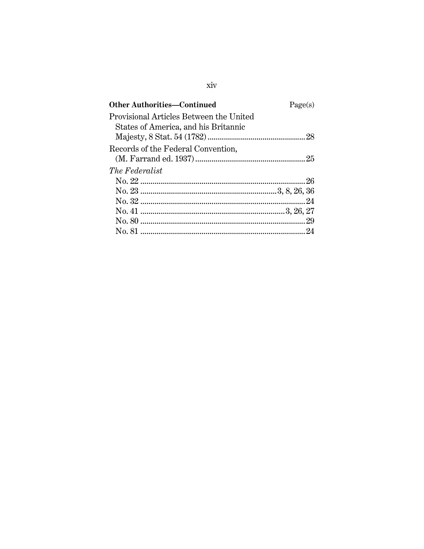| Page(s) |
|---------|
|         |
|         |
|         |
|         |
|         |
|         |
|         |
|         |
|         |
|         |
|         |
|         |
|         |

# $\rm xiv$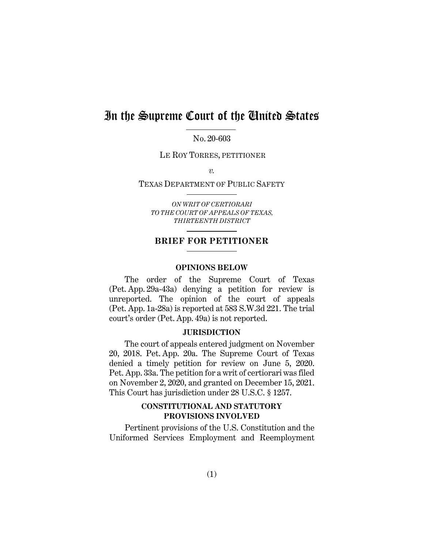# In the Supreme Court of the United States

No. 20-603

LE ROY TORRES, PETITIONER

*v.* 

#### TEXAS DEPARTMENT OF PUBLIC SAFETY

*ON WRIT OF CERTIORARI TO THE COURT OF APPEALS OF TEXAS, THIRTEENTH DISTRICT*

# **BRIEF FOR PETITIONER**

#### **OPINIONS BELOW**

The order of the Supreme Court of Texas (Pet. App. 29a-43a) denying a petition for review is unreported. The opinion of the court of appeals (Pet. App. 1a-28a) is reported at 583 S.W.3d 221. The trial court's order (Pet. App. 49a) is not reported.

## **JURISDICTION**

The court of appeals entered judgment on November 20, 2018. Pet. App. 20a. The Supreme Court of Texas denied a timely petition for review on June 5, 2020. Pet. App. 33a. The petition for a writ of certiorari was filed on November 2, 2020, and granted on December 15, 2021. This Court has jurisdiction under 28 U.S.C. § 1257.

# **CONSTITUTIONAL AND STATUTORY PROVISIONS INVOLVED**

Pertinent provisions of the U.S. Constitution and the Uniformed Services Employment and Reemployment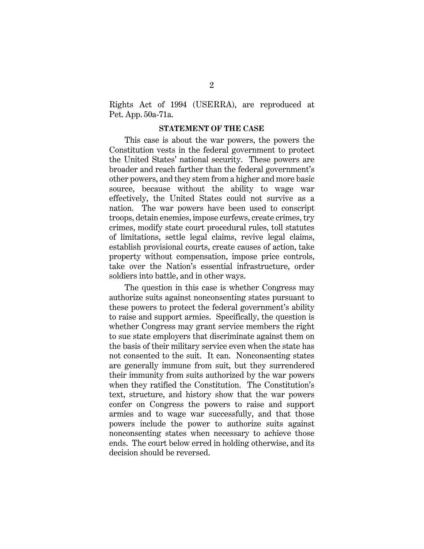Rights Act of 1994 (USERRA), are reproduced at Pet. App. 50a-71a.

#### **STATEMENT OF THE CASE**

This case is about the war powers, the powers the Constitution vests in the federal government to protect the United States' national security. These powers are broader and reach farther than the federal government's other powers, and they stem from a higher and more basic source, because without the ability to wage war effectively, the United States could not survive as a nation. The war powers have been used to conscript troops, detain enemies, impose curfews, create crimes, try crimes, modify state court procedural rules, toll statutes of limitations, settle legal claims, revive legal claims, establish provisional courts, create causes of action, take property without compensation, impose price controls, take over the Nation's essential infrastructure, order soldiers into battle, and in other ways.

The question in this case is whether Congress may authorize suits against nonconsenting states pursuant to these powers to protect the federal government's ability to raise and support armies. Specifically, the question is whether Congress may grant service members the right to sue state employers that discriminate against them on the basis of their military service even when the state has not consented to the suit. It can. Nonconsenting states are generally immune from suit, but they surrendered their immunity from suits authorized by the war powers when they ratified the Constitution. The Constitution's text, structure, and history show that the war powers confer on Congress the powers to raise and support armies and to wage war successfully, and that those powers include the power to authorize suits against nonconsenting states when necessary to achieve those ends. The court below erred in holding otherwise, and its decision should be reversed.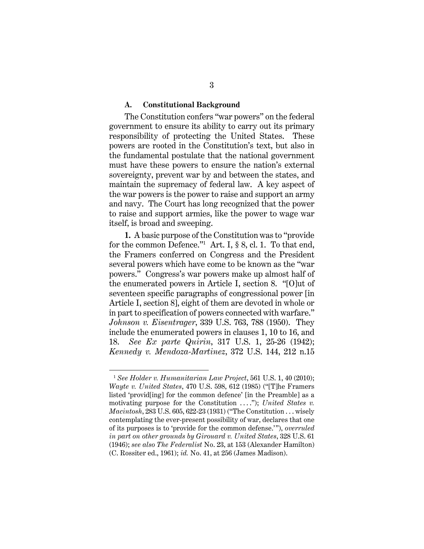#### **A. Constitutional Background**

The Constitution confers "war powers" on the federal government to ensure its ability to carry out its primary responsibility of protecting the United States. These powers are rooted in the Constitution's text, but also in the fundamental postulate that the national government must have these powers to ensure the nation's external sovereignty, prevent war by and between the states, and maintain the supremacy of federal law. A key aspect of the war powers is the power to raise and support an army and navy. The Court has long recognized that the power to raise and support armies, like the power to wage war itself, is broad and sweeping.

**1.** A basic purpose of the Constitution was to "provide for the common Defence."1 Art. I, § 8, cl. 1. To that end, the Framers conferred on Congress and the President several powers which have come to be known as the "war powers." Congress's war powers make up almost half of the enumerated powers in Article I, section 8. "[O]ut of seventeen specific paragraphs of congressional power [in Article I, section 8], eight of them are devoted in whole or in part to specification of powers connected with warfare." *Johnson v. Eisentrager*, 339 U.S. 763, 788 (1950). They include the enumerated powers in clauses 1, 10 to 16, and 18. *See Ex parte Quirin*, 317 U.S. 1, 25-26 (1942); *Kennedy v. Mendoza-Martinez*, 372 U.S. 144, 212 n.15

<sup>1</sup> *See Holder v. Humanitarian Law Project*, 561 U.S. 1, 40 (2010); *Wayte v. United States*, 470 U.S. 598, 612 (1985) ("[T]he Framers listed 'provid[ing] for the common defence' [in the Preamble] as a motivating purpose for the Constitution ...."); *United States v. Macintosh*, 283 U.S. 605, 622-23 (1931) ("The Constitution . . . wisely contemplating the ever-present possibility of war, declares that one of its purposes is to 'provide for the common defense.'"), *overruled in part on other grounds by Girouard v. United States*, 328 U.S. 61 (1946); *see also The Federalist* No. 23, at 153 (Alexander Hamilton) (C. Rossiter ed., 1961); *id.* No. 41, at 256 (James Madison).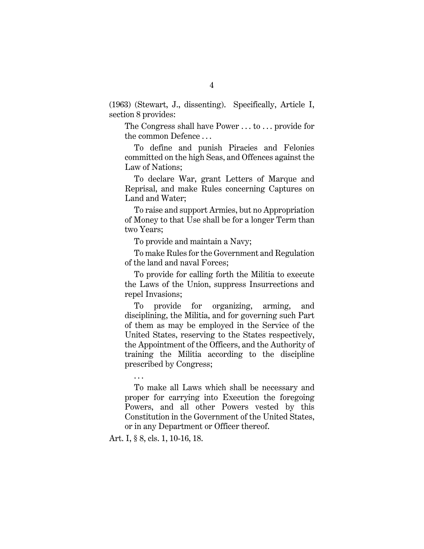(1963) (Stewart, J., dissenting). Specifically, Article I, section 8 provides:

The Congress shall have Power . . . to . . . provide for the common Defence . . .

To define and punish Piracies and Felonies committed on the high Seas, and Offences against the Law of Nations;

To declare War, grant Letters of Marque and Reprisal, and make Rules concerning Captures on Land and Water;

To raise and support Armies, but no Appropriation of Money to that Use shall be for a longer Term than two Years;

To provide and maintain a Navy;

To make Rules for the Government and Regulation of the land and naval Forces;

To provide for calling forth the Militia to execute the Laws of the Union, suppress Insurrections and repel Invasions;

To provide for organizing, arming, and disciplining, the Militia, and for governing such Part of them as may be employed in the Service of the United States, reserving to the States respectively, the Appointment of the Officers, and the Authority of training the Militia according to the discipline prescribed by Congress;

To make all Laws which shall be necessary and proper for carrying into Execution the foregoing Powers, and all other Powers vested by this Constitution in the Government of the United States, or in any Department or Officer thereof.

Art. I, § 8, cls. 1, 10-16, 18.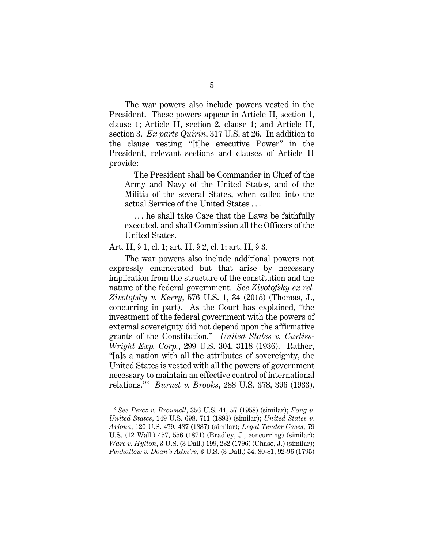The war powers also include powers vested in the President. These powers appear in Article II, section 1, clause 1; Article II, section 2, clause 1; and Article II, section 3. *Ex parte Quirin*, 317 U.S. at 26. In addition to the clause vesting "[t]he executive Power" in the President, relevant sections and clauses of Article II provide:

The President shall be Commander in Chief of the Army and Navy of the United States, and of the Militia of the several States, when called into the actual Service of the United States . . .

. . . he shall take Care that the Laws be faithfully executed, and shall Commission all the Officers of the United States.

Art. II, § 1, cl. 1; art. II, § 2, cl. 1; art. II, § 3.

The war powers also include additional powers not expressly enumerated but that arise by necessary implication from the structure of the constitution and the nature of the federal government. *See Zivotofsky ex rel. Zivotofsky v. Kerry*, 576 U.S. 1, 34 (2015) (Thomas, J., concurring in part). As the Court has explained, "the investment of the federal government with the powers of external sovereignty did not depend upon the affirmative grants of the Constitution." *United States v. Curtiss-Wright Exp. Corp.*, 299 U.S. 304, 3118 (1936). Rather, "[a]s a nation with all the attributes of sovereignty, the United States is vested with all the powers of government necessary to maintain an effective control of international relations."2  *Burnet v. Brooks*, 288 U.S. 378, 396 (1933).

<sup>2</sup> *See Perez v. Brownell*, 356 U.S. 44, 57 (1958) (similar); *Fong v. United States*, 149 U.S. 698, 711 (1893) (similar); *United States v. Arjona*, 120 U.S. 479, 487 (1887) (similar); *Legal Tender Cases*, 79 U.S. (12 Wall.) 457, 556 (1871) (Bradley, J., concurring) (similar); *Ware v. Hylton*, 3 U.S. (3 Dall.) 199, 232 (1796) (Chase, J.) (similar); *Penhallow v. Doan's Adm'rs*, 3 U.S. (3 Dall.) 54, 80-81, 92-96 (1795)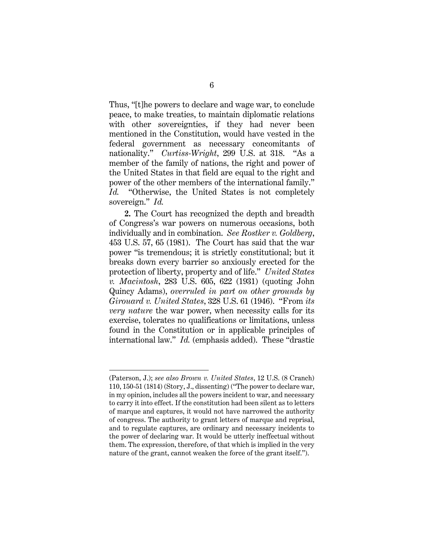Thus, "[t]he powers to declare and wage war, to conclude peace, to make treaties, to maintain diplomatic relations with other sovereignties, if they had never been mentioned in the Constitution, would have vested in the federal government as necessary concomitants of nationality." *Curtiss-Wright*, 299 U.S. at 318. "As a member of the family of nations, the right and power of the United States in that field are equal to the right and power of the other members of the international family." *Id.* "Otherwise, the United States is not completely sovereign." *Id.*

**2.** The Court has recognized the depth and breadth of Congress's war powers on numerous occasions, both individually and in combination. *See Rostker v. Goldberg*, 453 U.S. 57, 65 (1981). The Court has said that the war power "is tremendous; it is strictly constitutional; but it breaks down every barrier so anxiously erected for the protection of liberty, property and of life." *United States v. Macintosh*, 283 U.S. 605, 622 (1931) (quoting John Quincy Adams), *overruled in part on other grounds by Girouard v. United States*, 328 U.S. 61 (1946). "From *its very nature* the war power, when necessity calls for its exercise, tolerates no qualifications or limitations, unless found in the Constitution or in applicable principles of international law." *Id.* (emphasis added). These "drastic

<sup>(</sup>Paterson, J.); *see also Brown v. United States*, 12 U.S. (8 Cranch) 110, 150-51 (1814) (Story, J., dissenting) ("The power to declare war, in my opinion, includes all the powers incident to war, and necessary to carry it into effect. If the constitution had been silent as to letters of marque and captures, it would not have narrowed the authority of congress. The authority to grant letters of marque and reprisal, and to regulate captures, are ordinary and necessary incidents to the power of declaring war. It would be utterly ineffectual without them. The expression, therefore, of that which is implied in the very nature of the grant, cannot weaken the force of the grant itself.").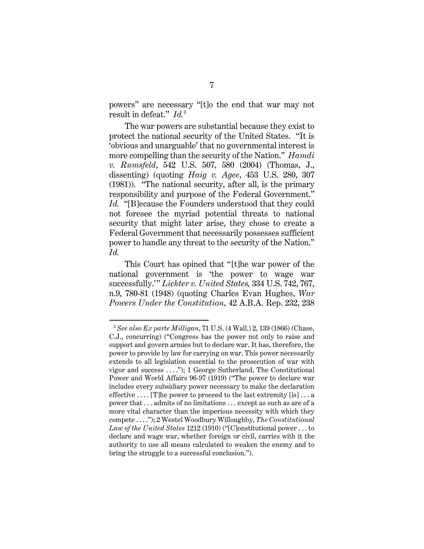powers" are necessary "[t]o the end that war may not result in defeat." *Id.*<sup>3</sup>

The war powers are substantial because they exist to protect the national security of the United States. "It is 'obvious and unarguable' that no governmental interest is more compelling than the security of the Nation." *Hamdi v. Rumsfeld*, 542 U.S. 507, 580 (2004) (Thomas, J., dissenting) (quoting *Haig v. Agee*, 453 U.S. 280, 307 (1981)). "The national security, after all, is the primary responsibility and purpose of the Federal Government." *Id.* "[B]ecause the Founders understood that they could not foresee the myriad potential threats to national security that might later arise, they chose to create a Federal Government that necessarily possesses sufficient power to handle any threat to the security of the Nation." *Id.*

This Court has opined that "[t]he war power of the national government is 'the power to wage war successfully.'" *Lichter v. United States,* 334 U.S. 742, 767, n.9, 780-81 (1948) (quoting Charles Evan Hughes, *War Powers Under the Constitution*, 42 A.B.A. Rep. 232, 238

<sup>3</sup> *See also Ex parte Milligan*, 71 U.S. (4 Wall.) 2, 139 (1866) (Chase, C.J., concurring) ("Congress has the power not only to raise and support and govern armies but to declare war. It has, therefore, the power to provide by law for carrying on war. This power necessarily extends to all legislation essential to the prosecution of war with vigor and success . . . ."); 1 George Sutherland, The Constitutional Power and World Affairs 96-97 (1919) ("The power to declare war includes every subsidiary power necessary to make the declaration effective  $\dots$  [T]he power to proceed to the last extremity [is]  $\dots$  a power that . . . admits of no limitations . . . except as such as are of a more vital character than the imperious necessity with which they compete . . . ."); 2 Westel Woodbury Willoughby, *The Constitutional Law of the United States* 1212 (1910) ("[C]onstitutional power . . . to declare and wage war, whether foreign or civil, carries with it the authority to use all means calculated to weaken the enemy and to bring the struggle to a successful conclusion.").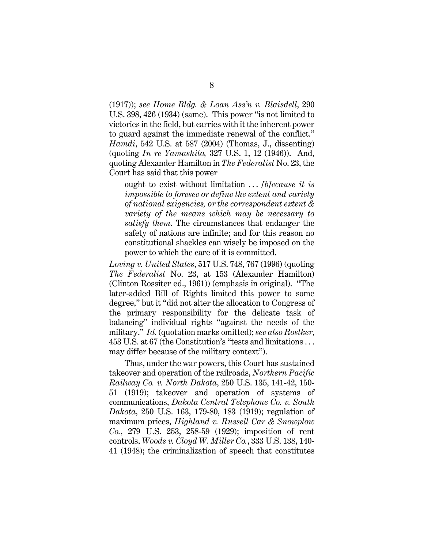(1917)); *see Home Bldg. & Loan Ass'n v. Blaisdell*, 290 U.S. 398, 426 (1934) (same). This power "is not limited to victories in the field, but carries with it the inherent power to guard against the immediate renewal of the conflict." *Hamdi*, 542 U.S. at 587 (2004) (Thomas, J., dissenting) (quoting *In re Yamashita,* 327 U.S. 1, 12 (1946)). And, quoting Alexander Hamilton in *The Federalist* No. 23, the Court has said that this power

ought to exist without limitation . . . *[b]ecause it is impossible to foresee or define the extent and variety of national exigencies, or the correspondent extent & variety of the means which may be necessary to satisfy them*. The circumstances that endanger the safety of nations are infinite; and for this reason no constitutional shackles can wisely be imposed on the power to which the care of it is committed.

*Loving v. United States*, 517 U.S. 748, 767 (1996) (quoting *The Federalist* No. 23, at 153 (Alexander Hamilton) (Clinton Rossiter ed., 1961)) (emphasis in original). "The later-added Bill of Rights limited this power to some degree," but it "did not alter the allocation to Congress of the primary responsibility for the delicate task of balancing" individual rights "against the needs of the military." *Id.* (quotation marks omitted); *see also Rostker*, 453 U.S. at 67 (the Constitution's "tests and limitations . . . may differ because of the military context").

Thus, under the war powers, this Court has sustained takeover and operation of the railroads, *Northern Pacific Railway Co. v. North Dakota*, 250 U.S. 135, 141-42, 150- 51 (1919); takeover and operation of systems of communications, *Dakota Central Telephone Co. v. South Dakota*, 250 U.S. 163, 179-80, 183 (1919); regulation of maximum prices, *Highland v. Russell Car & Snowplow Co.*, 279 U.S. 253, 258-59 (1929); imposition of rent controls, *Woods v. Cloyd W. Miller Co.*, 333 U.S. 138, 140- 41 (1948); the criminalization of speech that constitutes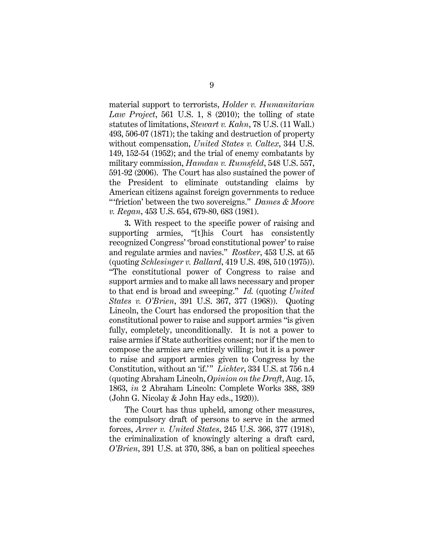material support to terrorists, *Holder v. Humanitarian Law Project*, 561 U.S. 1, 8 (2010); the tolling of state statutes of limitations, *Stewart v. Kahn*, 78 U.S. (11 Wall.) 493, 506-07 (1871); the taking and destruction of property without compensation, *United States v. Caltex*, 344 U.S. 149, 152-54 (1952); and the trial of enemy combatants by military commission, *Hamdan v. Rumsfeld*, 548 U.S. 557, 591-92 (2006). The Court has also sustained the power of the President to eliminate outstanding claims by American citizens against foreign governments to reduce "'friction' between the two sovereigns." *Dames & Moore v. Regan*, 453 U.S. 654, 679-80, 683 (1981).

**3.** With respect to the specific power of raising and supporting armies, "[t]his Court has consistently recognized Congress' 'broad constitutional power' to raise and regulate armies and navies." *Rostker*, 453 U.S. at 65 (quoting *Schlesinger v. Ballard*, 419 U.S. 498, 510 (1975)). "The constitutional power of Congress to raise and support armies and to make all laws necessary and proper to that end is broad and sweeping." *Id.* (quoting *United States v. O'Brien*, 391 U.S. 367, 377 (1968)). Quoting Lincoln, the Court has endorsed the proposition that the constitutional power to raise and support armies "is given fully, completely, unconditionally. It is not a power to raise armies if State authorities consent; nor if the men to compose the armies are entirely willing; but it is a power to raise and support armies given to Congress by the Constitution, without an 'if.'" *Lichter*, 334 U.S. at 756 n.4 (quoting Abraham Lincoln, *Opinion on the Draft*, Aug. 15, 1863, *in* 2 Abraham Lincoln: Complete Works 388, 389 (John G. Nicolay & John Hay eds., 1920)).

The Court has thus upheld, among other measures, the compulsory draft of persons to serve in the armed forces, *Arver v. United States*, 245 U.S. 366, 377 (1918), the criminalization of knowingly altering a draft card, *O'Brien*, 391 U.S. at 370, 386, a ban on political speeches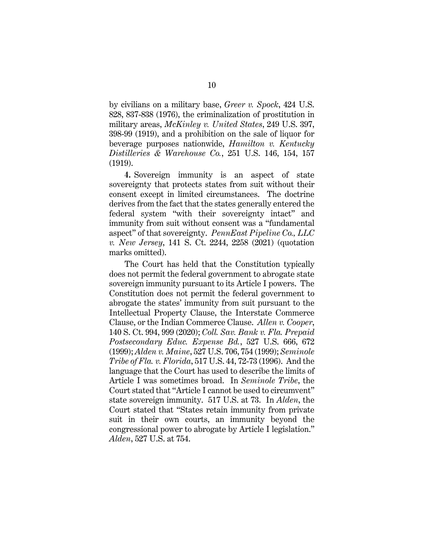by civilians on a military base, *Greer v. Spock*, 424 U.S. 828, 837-838 (1976), the criminalization of prostitution in military areas, *McKinley v. United States*, 249 U.S. 397, 398-99 (1919), and a prohibition on the sale of liquor for beverage purposes nationwide, *Hamilton v. Kentucky Distilleries & Warehouse Co.*, 251 U.S. 146, 154, 157 (1919).

**4.** Sovereign immunity is an aspect of state sovereignty that protects states from suit without their consent except in limited circumstances. The doctrine derives from the fact that the states generally entered the federal system "with their sovereignty intact" and immunity from suit without consent was a "fundamental aspect" of that sovereignty. *PennEast Pipeline Co., LLC v. New Jersey*, 141 S. Ct. 2244, 2258 (2021) (quotation marks omitted).

The Court has held that the Constitution typically does not permit the federal government to abrogate state sovereign immunity pursuant to its Article I powers. The Constitution does not permit the federal government to abrogate the states' immunity from suit pursuant to the Intellectual Property Clause, the Interstate Commerce Clause, or the Indian Commerce Clause. *Allen v. Cooper*, 140 S. Ct. 994, 999 (2020); *Coll. Sav. Bank v. Fla. Prepaid Postsecondary Educ. Expense Bd.*, 527 U.S. 666, 672 (1999); *Alden v. Maine*, 527 U.S. 706, 754 (1999); *Seminole Tribe of Fla. v. Florida*, 517 U.S. 44, 72-73 (1996). And the language that the Court has used to describe the limits of Article I was sometimes broad. In *Seminole Tribe*, the Court stated that "Article I cannot be used to circumvent" state sovereign immunity. 517 U.S. at 73. In *Alden*, the Court stated that "States retain immunity from private suit in their own courts, an immunity beyond the congressional power to abrogate by Article I legislation." *Alden*, 527 U.S. at 754.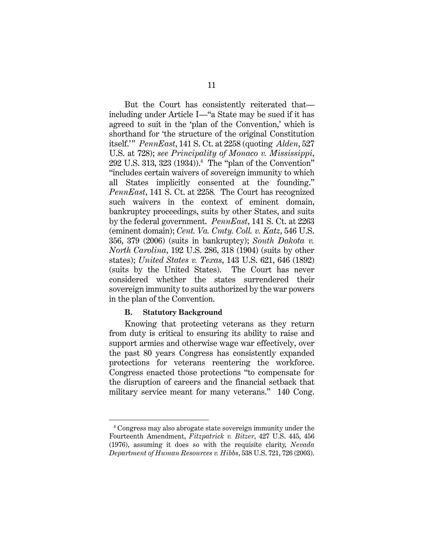But the Court has consistently reiterated that including under Article I—"a State may be sued if it has agreed to suit in the 'plan of the Convention,' which is shorthand for 'the structure of the original Constitution itself.'" *PennEast*, 141 S. Ct. at 2258 (quoting *Alden*, 527 U.S. at 728); *see Principality of Monaco v. Mississippi*, 292 U.S. 313, 323 (1934)).4 The "plan of the Convention" "includes certain waivers of sovereign immunity to which all States implicitly consented at the founding." *PennEast*, 141 S. Ct. at 2258*.* The Court has recognized such waivers in the context of eminent domain, bankruptcy proceedings, suits by other States, and suits by the federal government. *PennEast*, 141 S. Ct. at 2263 (eminent domain); *Cent. Va. Cmty. Coll. v. Katz*, 546 U.S. 356, 379 (2006) (suits in bankruptcy); *South Dakota v. North Carolina*, 192 U.S. 286, 318 (1904) (suits by other states); *United States v. Texas*, 143 U.S. 621, 646 (1892) (suits by the United States). The Court has never considered whether the states surrendered their sovereign immunity to suits authorized by the war powers in the plan of the Convention.

### **B. Statutory Background**

Knowing that protecting veterans as they return from duty is critical to ensuring its ability to raise and support armies and otherwise wage war effectively, over the past 80 years Congress has consistently expanded protections for veterans reentering the workforce. Congress enacted those protections "to compensate for the disruption of careers and the financial setback that military service meant for many veterans." 140 Cong.

<sup>4</sup> Congress may also abrogate state sovereign immunity under the Fourteenth Amendment, *Fitzpatrick v. Bitzer*, 427 U.S. 445, 456 (1976), assuming it does so with the requisite clarity, *Nevada Department of Human Resources v. Hibbs*, 538 U.S. 721, 726 (2003).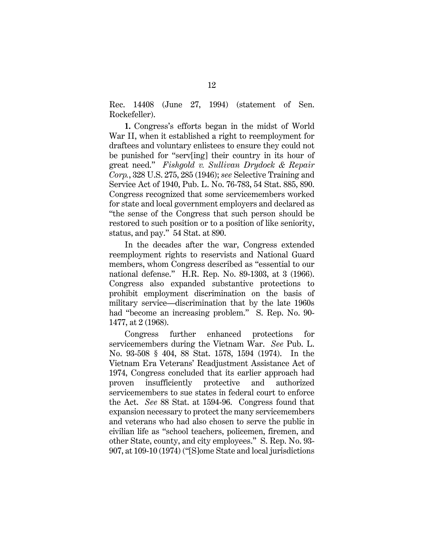Rec. 14408 (June 27, 1994) (statement of Sen. Rockefeller).

**1.** Congress's efforts began in the midst of World War II, when it established a right to reemployment for draftees and voluntary enlistees to ensure they could not be punished for "serv[ing] their country in its hour of great need." *Fishgold v. Sullivan Drydock & Repair Corp.*, 328 U.S. 275, 285 (1946); *see* Selective Training and Service Act of 1940, Pub. L. No. 76-783, 54 Stat. 885, 890. Congress recognized that some servicemembers worked for state and local government employers and declared as "the sense of the Congress that such person should be restored to such position or to a position of like seniority, status, and pay." 54 Stat. at 890.

In the decades after the war, Congress extended reemployment rights to reservists and National Guard members, whom Congress described as "essential to our national defense." H.R. Rep. No. 89-1303, at 3 (1966). Congress also expanded substantive protections to prohibit employment discrimination on the basis of military service—discrimination that by the late 1960s had "become an increasing problem." S. Rep. No. 90- 1477, at 2 (1968).

Congress further enhanced protections for servicemembers during the Vietnam War. *See* Pub. L. No. 93-508 § 404, 88 Stat. 1578, 1594 (1974). In the Vietnam Era Veterans' Readjustment Assistance Act of 1974, Congress concluded that its earlier approach had proven insufficiently protective and authorized servicemembers to sue states in federal court to enforce the Act. *See* 88 Stat. at 1594-96. Congress found that expansion necessary to protect the many servicemembers and veterans who had also chosen to serve the public in civilian life as "school teachers, policemen, firemen, and other State, county, and city employees." S. Rep. No. 93- 907, at 109-10 (1974) ("[S]ome State and local jurisdictions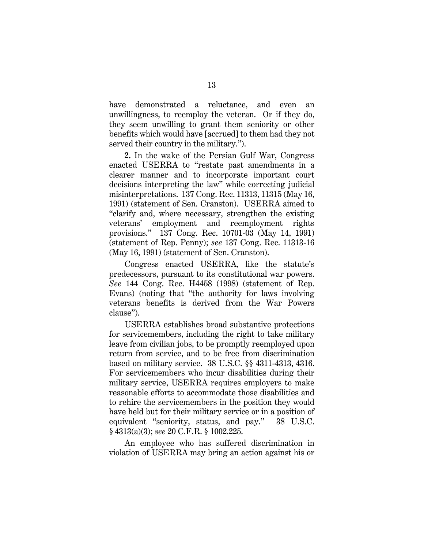have demonstrated a reluctance, and even an unwillingness, to reemploy the veteran. Or if they do, they seem unwilling to grant them seniority or other benefits which would have [accrued] to them had they not served their country in the military.").

**2.** In the wake of the Persian Gulf War, Congress enacted USERRA to "restate past amendments in a clearer manner and to incorporate important court decisions interpreting the law" while correcting judicial misinterpretations. 137 Cong. Rec. 11313, 11315 (May 16, 1991) (statement of Sen. Cranston). USERRA aimed to "clarify and, where necessary, strengthen the existing veterans' employment and reemployment rights provisions." 137 Cong. Rec. 10701-03 (May 14, 1991) (statement of Rep. Penny); *see* 137 Cong. Rec. 11313-16 (May 16, 1991) (statement of Sen. Cranston).

Congress enacted USERRA, like the statute's predecessors, pursuant to its constitutional war powers. *See* 144 Cong. Rec. H4458 (1998) (statement of Rep. Evans) (noting that "the authority for laws involving veterans benefits is derived from the War Powers clause").

USERRA establishes broad substantive protections for servicemembers, including the right to take military leave from civilian jobs, to be promptly reemployed upon return from service, and to be free from discrimination based on military service. 38 U.S.C. §§ 4311-4313, 4316. For servicemembers who incur disabilities during their military service, USERRA requires employers to make reasonable efforts to accommodate those disabilities and to rehire the servicemembers in the position they would have held but for their military service or in a position of equivalent "seniority, status, and pay." 38 U.S.C. § 4313(a)(3); *see* 20 C.F.R. § 1002.225.

An employee who has suffered discrimination in violation of USERRA may bring an action against his or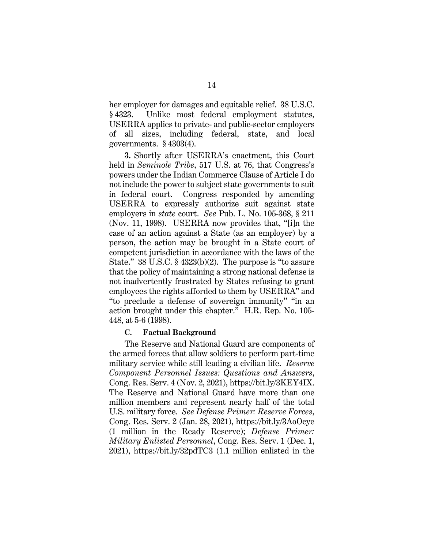her employer for damages and equitable relief. 38 U.S.C. § 4323. Unlike most federal employment statutes, USERRA applies to private- and public-sector employers of all sizes, including federal, state, and local governments. § 4303(4).

**3.** Shortly after USERRA's enactment, this Court held in *Seminole Tribe*, 517 U.S. at 76, that Congress's powers under the Indian Commerce Clause of Article I do not include the power to subject state governments to suit in federal court. Congress responded by amending USERRA to expressly authorize suit against state employers in *state* court. *See* Pub. L. No. 105-368, § 211 (Nov. 11, 1998). USERRA now provides that, "[i]n the case of an action against a State (as an employer) by a person, the action may be brought in a State court of competent jurisdiction in accordance with the laws of the State." 38 U.S.C. § 4323(b)(2). The purpose is "to assure that the policy of maintaining a strong national defense is not inadvertently frustrated by States refusing to grant employees the rights afforded to them by USERRA" and "to preclude a defense of sovereign immunity" "in an action brought under this chapter." H.R. Rep. No. 105- 448, at 5-6 (1998).

### **C. Factual Background**

The Reserve and National Guard are components of the armed forces that allow soldiers to perform part-time military service while still leading a civilian life. *Reserve Component Personnel Issues: Questions and Answers*, Cong. Res. Serv. 4 (Nov. 2, 2021), https://bit.ly/3KEY4IX. The Reserve and National Guard have more than one million members and represent nearly half of the total U.S. military force. *See Defense Primer: Reserve Forces*, Cong. Res. Serv. 2 (Jan. 28, 2021), https://bit.ly/3AoOcye (1 million in the Ready Reserve); *Defense Primer: Military Enlisted Personnel*, Cong. Res. Serv. 1 (Dec. 1, 2021), https://bit.ly/32pdTC3 (1.1 million enlisted in the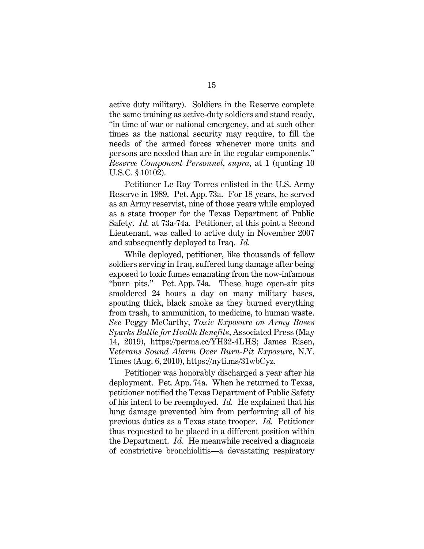active duty military). Soldiers in the Reserve complete the same training as active-duty soldiers and stand ready, "in time of war or national emergency, and at such other times as the national security may require, to fill the needs of the armed forces whenever more units and persons are needed than are in the regular components." *Reserve Component Personnel*, *supra*, at 1 (quoting 10 U.S.C. § 10102).

Petitioner Le Roy Torres enlisted in the U.S. Army Reserve in 1989. Pet. App. 73a. For 18 years, he served as an Army reservist, nine of those years while employed as a state trooper for the Texas Department of Public Safety. *Id.* at 73a-74a. Petitioner, at this point a Second Lieutenant, was called to active duty in November 2007 and subsequently deployed to Iraq. *Id.*

While deployed, petitioner, like thousands of fellow soldiers serving in Iraq, suffered lung damage after being exposed to toxic fumes emanating from the now-infamous "burn pits." Pet. App. 74a. These huge open-air pits smoldered 24 hours a day on many military bases, spouting thick, black smoke as they burned everything from trash, to ammunition, to medicine, to human waste. *See* Peggy McCarthy, *Toxic Exposure on Army Bases Sparks Battle for Health Benefits*, Associated Press (May 14, 2019), https://perma.cc/YH32-4LHS; James Risen, V*eterans Sound Alarm Over Burn-Pit Exposure*, N.Y. Times (Aug. 6, 2010), https://nyti.ms/31wbCyz.

Petitioner was honorably discharged a year after his deployment. Pet. App. 74a. When he returned to Texas, petitioner notified the Texas Department of Public Safety of his intent to be reemployed. *Id.* He explained that his lung damage prevented him from performing all of his previous duties as a Texas state trooper. *Id.* Petitioner thus requested to be placed in a different position within the Department. *Id.* He meanwhile received a diagnosis of constrictive bronchiolitis—a devastating respiratory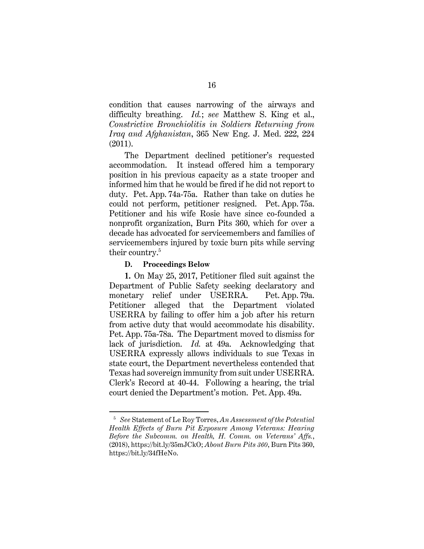condition that causes narrowing of the airways and difficulty breathing. *Id.*; *see* Matthew S. King et al., *Constrictive Bronchiolitis in Soldiers Returning from Iraq and Afghanistan*, 365 New Eng. J. Med. 222, 224 (2011).

The Department declined petitioner's requested accommodation. It instead offered him a temporary position in his previous capacity as a state trooper and informed him that he would be fired if he did not report to duty. Pet. App. 74a-75a. Rather than take on duties he could not perform, petitioner resigned. Pet. App. 75a. Petitioner and his wife Rosie have since co-founded a nonprofit organization, Burn Pits 360, which for over a decade has advocated for servicemembers and families of servicemembers injured by toxic burn pits while serving their country.<sup>5</sup>

### **D. Proceedings Below**

**1.** On May 25, 2017, Petitioner filed suit against the Department of Public Safety seeking declaratory and monetary relief under USERRA. Pet. App. 79a. Petitioner alleged that the Department violated USERRA by failing to offer him a job after his return from active duty that would accommodate his disability. Pet. App. 75a-78a. The Department moved to dismiss for lack of jurisdiction. *Id.* at 49a. Acknowledging that USERRA expressly allows individuals to sue Texas in state court, the Department nevertheless contended that Texas had sovereign immunity from suit under USERRA. Clerk's Record at 40-44. Following a hearing, the trial court denied the Department's motion. Pet. App. 49a.

<sup>5</sup> *See* Statement of Le Roy Torres, *An Assessment of the Potential Health Effects of Burn Pit Exposure Among Veterans: Hearing Before the Subcomm. on Health, H. Comm. on Veterans' Affs.*, (2018), https://bit.ly/35mJCkO; *About Burn Pits 360*, Burn Pits 360, https://bit.ly/34fHeNo.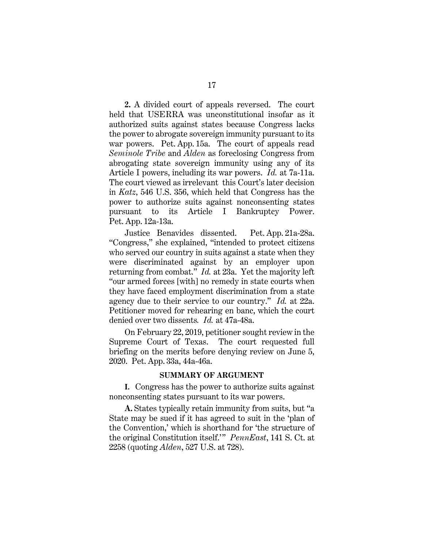**2.** A divided court of appeals reversed. The court held that USERRA was unconstitutional insofar as it authorized suits against states because Congress lacks the power to abrogate sovereign immunity pursuant to its war powers. Pet. App. 15a. The court of appeals read *Seminole Tribe* and *Alden* as foreclosing Congress from abrogating state sovereign immunity using any of its Article I powers, including its war powers. *Id.* at 7a-11a. The court viewed as irrelevant this Court's later decision in *Katz*, 546 U.S. 356, which held that Congress has the power to authorize suits against nonconsenting states pursuant to its Article I Bankruptcy Power. Pet. App. 12a-13a.

Justice Benavides dissented. Pet. App. 21a-28a. "Congress," she explained, "intended to protect citizens who served our country in suits against a state when they were discriminated against by an employer upon returning from combat." *Id.* at 23a. Yet the majority left "our armed forces [with] no remedy in state courts when they have faced employment discrimination from a state agency due to their service to our country." *Id.* at 22a. Petitioner moved for rehearing en banc, which the court denied over two dissents*. Id.* at 47a-48a.

On February 22, 2019, petitioner sought review in the Supreme Court of Texas. The court requested full briefing on the merits before denying review on June 5, 2020. Pet. App. 33a, 44a-46a.

#### **SUMMARY OF ARGUMENT**

**I.**   Congress has the power to authorize suits against nonconsenting states pursuant to its war powers.

**A.** States typically retain immunity from suits, but "a State may be sued if it has agreed to suit in the 'plan of the Convention,' which is shorthand for 'the structure of the original Constitution itself.'" *PennEast*, 141 S. Ct. at 2258 (quoting *Alden*, 527 U.S. at 728).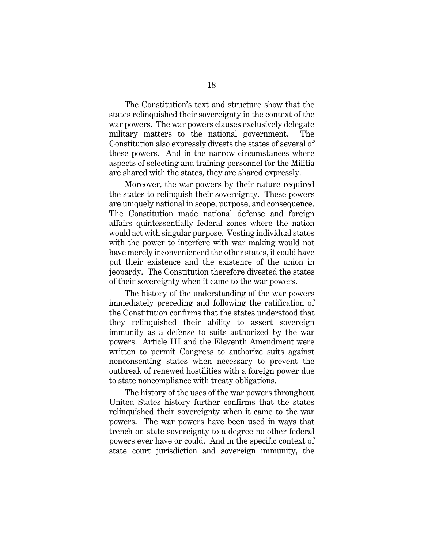The Constitution's text and structure show that the states relinquished their sovereignty in the context of the war powers. The war powers clauses exclusively delegate military matters to the national government. The Constitution also expressly divests the states of several of these powers. And in the narrow circumstances where aspects of selecting and training personnel for the Militia are shared with the states, they are shared expressly.

Moreover, the war powers by their nature required the states to relinquish their sovereignty. These powers are uniquely national in scope, purpose, and consequence. The Constitution made national defense and foreign affairs quintessentially federal zones where the nation would act with singular purpose. Vesting individual states with the power to interfere with war making would not have merely inconvenienced the other states, it could have put their existence and the existence of the union in jeopardy. The Constitution therefore divested the states of their sovereignty when it came to the war powers.

The history of the understanding of the war powers immediately preceding and following the ratification of the Constitution confirms that the states understood that they relinquished their ability to assert sovereign immunity as a defense to suits authorized by the war powers. Article III and the Eleventh Amendment were written to permit Congress to authorize suits against nonconsenting states when necessary to prevent the outbreak of renewed hostilities with a foreign power due to state noncompliance with treaty obligations.

The history of the uses of the war powers throughout United States history further confirms that the states relinquished their sovereignty when it came to the war powers. The war powers have been used in ways that trench on state sovereignty to a degree no other federal powers ever have or could. And in the specific context of state court jurisdiction and sovereign immunity, the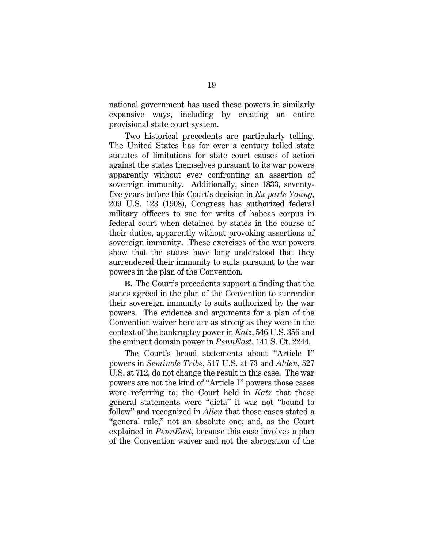national government has used these powers in similarly expansive ways, including by creating an entire provisional state court system.

Two historical precedents are particularly telling. The United States has for over a century tolled state statutes of limitations for state court causes of action against the states themselves pursuant to its war powers apparently without ever confronting an assertion of sovereign immunity. Additionally, since 1833, seventyfive years before this Court's decision in *Ex parte Young*, 209 U.S. 123 (1908), Congress has authorized federal military officers to sue for writs of habeas corpus in federal court when detained by states in the course of their duties, apparently without provoking assertions of sovereign immunity. These exercises of the war powers show that the states have long understood that they surrendered their immunity to suits pursuant to the war powers in the plan of the Convention.

**B.**  The Court's precedents support a finding that the states agreed in the plan of the Convention to surrender their sovereign immunity to suits authorized by the war powers. The evidence and arguments for a plan of the Convention waiver here are as strong as they were in the context of the bankruptcy power in *Katz*, 546 U.S. 356 and the eminent domain power in *PennEast*, 141 S. Ct. 2244.

The Court's broad statements about "Article I" powers in *Seminole Tribe*, 517 U.S. at 73 and *Alden*, 527 U.S. at 712, do not change the result in this case. The war powers are not the kind of "Article I" powers those cases were referring to; the Court held in *Katz* that those general statements were "dicta" it was not "bound to follow" and recognized in *Allen* that those cases stated a "general rule," not an absolute one; and, as the Court explained in *PennEast*, because this case involves a plan of the Convention waiver and not the abrogation of the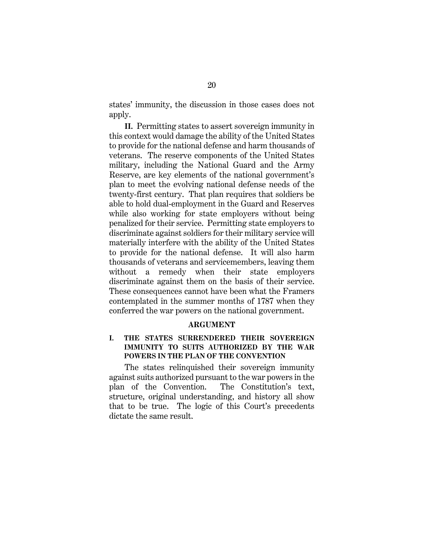states' immunity, the discussion in those cases does not apply.

**II.** Permitting states to assert sovereign immunity in this context would damage the ability of the United States to provide for the national defense and harm thousands of veterans. The reserve components of the United States military, including the National Guard and the Army Reserve, are key elements of the national government's plan to meet the evolving national defense needs of the twenty-first century. That plan requires that soldiers be able to hold dual-employment in the Guard and Reserves while also working for state employers without being penalized for their service. Permitting state employers to discriminate against soldiers for their military service will materially interfere with the ability of the United States to provide for the national defense. It will also harm thousands of veterans and servicemembers, leaving them without a remedy when their state employers discriminate against them on the basis of their service. These consequences cannot have been what the Framers contemplated in the summer months of 1787 when they conferred the war powers on the national government.

#### **ARGUMENT**

# **I. THE STATES SURRENDERED THEIR SOVEREIGN IMMUNITY TO SUITS AUTHORIZED BY THE WAR POWERS IN THE PLAN OF THE CONVENTION**

The states relinquished their sovereign immunity against suits authorized pursuant to the war powers in the plan of the Convention. The Constitution's text, structure, original understanding, and history all show that to be true. The logic of this Court's precedents dictate the same result.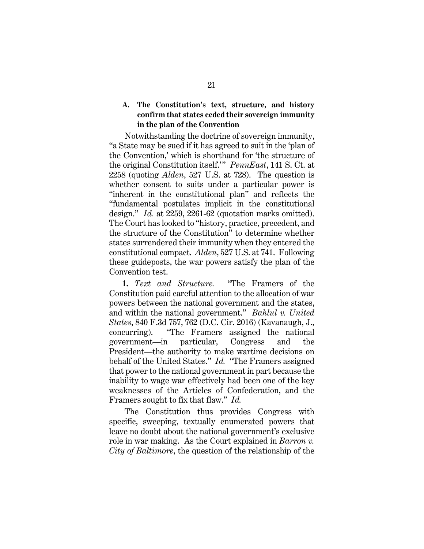# **A. The Constitution's text, structure, and history confirm that states ceded their sovereign immunity in the plan of the Convention**

Notwithstanding the doctrine of sovereign immunity, "a State may be sued if it has agreed to suit in the 'plan of the Convention,' which is shorthand for 'the structure of the original Constitution itself.'" *PennEast*, 141 S. Ct. at 2258 (quoting *Alden*, 527 U.S. at 728). The question is whether consent to suits under a particular power is "inherent in the constitutional plan" and reflects the "fundamental postulates implicit in the constitutional design." *Id.* at 2259, 2261-62 (quotation marks omitted). The Court has looked to "history, practice, precedent, and the structure of the Constitution" to determine whether states surrendered their immunity when they entered the constitutional compact. *Alden*, 527 U.S. at 741. Following these guideposts, the war powers satisfy the plan of the Convention test.

**1.** *Text and Structure.* "The Framers of the Constitution paid careful attention to the allocation of war powers between the national government and the states, and within the national government." *Bahlul v. United States*, 840 F.3d 757, 762 (D.C. Cir. 2016) (Kavanaugh, J., concurring). "The Framers assigned the national government—in particular, Congress and the President—the authority to make wartime decisions on behalf of the United States." *Id.* "The Framers assigned that power to the national government in part because the inability to wage war effectively had been one of the key weaknesses of the Articles of Confederation, and the Framers sought to fix that flaw." *Id.*

The Constitution thus provides Congress with specific, sweeping, textually enumerated powers that leave no doubt about the national government's exclusive role in war making. As the Court explained in *Barron v. City of Baltimore*, the question of the relationship of the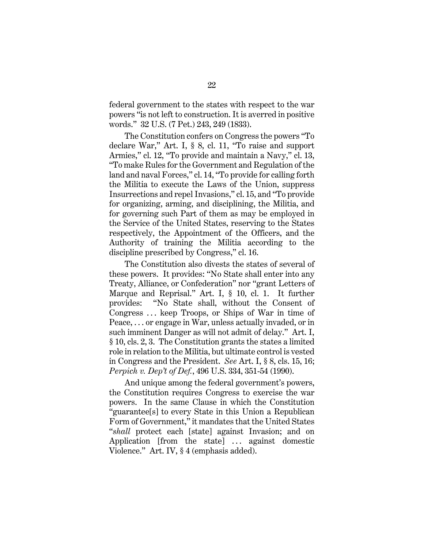federal government to the states with respect to the war powers "is not left to construction. It is averred in positive words." 32 U.S. (7 Pet.) 243, 249 (1833).

The Constitution confers on Congress the powers "To declare War," Art. I, § 8, cl. 11, "To raise and support Armies," cl. 12, "To provide and maintain a Navy," cl. 13, "To make Rules for the Government and Regulation of the land and naval Forces," cl. 14, "To provide for calling forth the Militia to execute the Laws of the Union, suppress Insurrections and repel Invasions," cl. 15, and "To provide for organizing, arming, and disciplining, the Militia, and for governing such Part of them as may be employed in the Service of the United States, reserving to the States respectively, the Appointment of the Officers, and the Authority of training the Militia according to the discipline prescribed by Congress," cl. 16.

The Constitution also divests the states of several of these powers. It provides: "No State shall enter into any Treaty, Alliance, or Confederation" nor "grant Letters of Marque and Reprisal." Art. I, § 10, cl. 1. It further provides: "No State shall, without the Consent of Congress . . . keep Troops, or Ships of War in time of Peace, . . . or engage in War, unless actually invaded, or in such imminent Danger as will not admit of delay." Art. I, § 10, cls. 2, 3. The Constitution grants the states a limited role in relation to the Militia, but ultimate control is vested in Congress and the President. *See* Art. I, § 8, cls. 15, 16; *Perpich v. Dep't of Def.*, 496 U.S. 334, 351-54 (1990).

And unique among the federal government's powers, the Constitution requires Congress to exercise the war powers. In the same Clause in which the Constitution "guarantee[s] to every State in this Union a Republican Form of Government," it mandates that the United States "*shall* protect each [state] against Invasion; and on Application [from the state] ... against domestic Violence." Art. IV, § 4 (emphasis added).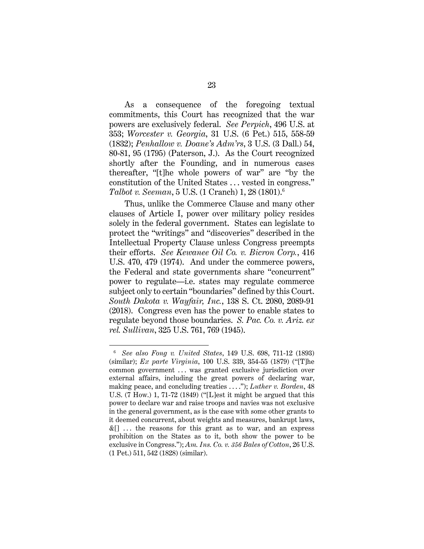As a consequence of the foregoing textual commitments, this Court has recognized that the war powers are exclusively federal. *See Perpich*, 496 U.S. at 353; *Worcester v. Georgia*, 31 U.S. (6 Pet.) 515, 558-59 (1832); *Penhallow v. Doane's Adm'rs*, 3 U.S. (3 Dall.) 54, 80-81, 95 (1795) (Paterson, J.). As the Court recognized shortly after the Founding, and in numerous cases thereafter, "[t]he whole powers of war" are "by the constitution of the United States . . . vested in congress." *Talbot v. Seeman*, 5 U.S. (1 Cranch) 1, 28 (1801).6

Thus, unlike the Commerce Clause and many other clauses of Article I, power over military policy resides solely in the federal government. States can legislate to protect the "writings" and "discoveries" described in the Intellectual Property Clause unless Congress preempts their efforts. *See Kewanee Oil Co. v. Bicron Corp.*, 416 U.S. 470, 479 (1974). And under the commerce powers, the Federal and state governments share "concurrent" power to regulate—i.e. states may regulate commerce subject only to certain "boundaries" defined by this Court. *South Dakota v. Wayfair, Inc.*, 138 S. Ct. 2080, 2089-91 (2018). Congress even has the power to enable states to regulate beyond those boundaries. *S. Pac. Co. v. Ariz. ex rel. Sullivan*, 325 U.S. 761, 769 (1945).

<sup>6</sup> *See also Fong v. United States*, 149 U.S. 698, 711-12 (1893) (similar); *Ex parte Virginia*, 100 U.S. 339, 354-55 (1879) ("[T]he common government ... was granted exclusive jurisdiction over external affairs, including the great powers of declaring war, making peace, and concluding treaties . . . ."); *Luther v. Borden*, 48 U.S. (7 How.) 1, 71-72 (1849) ("[L]est it might be argued that this power to declare war and raise troops and navies was not exclusive in the general government, as is the case with some other grants to it deemed concurrent, about weights and measures, bankrupt laws,  $\&$ [] ... the reasons for this grant as to war, and an express prohibition on the States as to it, both show the power to be exclusive in Congress."); *Am. Ins. Co. v. 356 Bales of Cotton*, 26 U.S. (1 Pet.) 511, 542 (1828) (similar).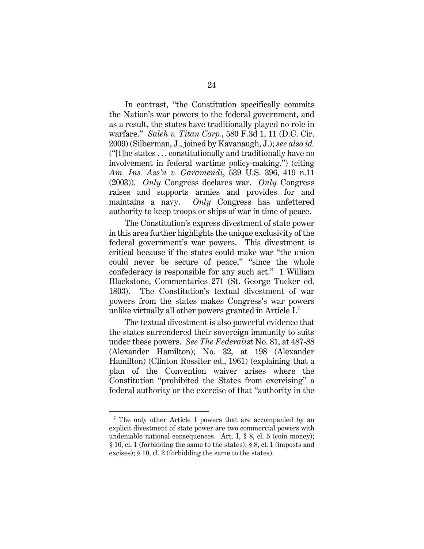In contrast, "the Constitution specifically commits the Nation's war powers to the federal government, and as a result, the states have traditionally played no role in warfare." *Saleh v. Titan Corp.*, 580 F.3d 1, 11 (D.C. Cir. 2009) (Silberman, J., joined by Kavanaugh, J.); *see also id.* ("[t]he states . . . constitutionally and traditionally have no involvement in federal wartime policy-making.") (citing *Am. Ins. Ass'n v. Garamendi*, 539 U.S. 396, 419 n.11 (2003)). *Only* Congress declares war. *Only* Congress raises and supports armies and provides for and maintains a navy. *Only* Congress has unfettered authority to keep troops or ships of war in time of peace.

The Constitution's express divestment of state power in this area further highlights the unique exclusivity of the federal government's war powers. This divestment is critical because if the states could make war "the union could never be secure of peace," "since the whole confederacy is responsible for any such act." 1 William Blackstone, Commentaries 271 (St. George Tucker ed. 1803). The Constitution's textual divestment of war powers from the states makes Congress's war powers unlike virtually all other powers granted in Article I.7

The textual divestment is also powerful evidence that the states surrendered their sovereign immunity to suits under these powers. *See The Federalist* No. 81, at 487-88 (Alexander Hamilton); No. 32, at 198 (Alexander Hamilton) (Clinton Rossiter ed., 1961) (explaining that a plan of the Convention waiver arises where the Constitution "prohibited the States from exercising" a federal authority or the exercise of that "authority in the

<sup>&</sup>lt;sup>7</sup> The only other Article I powers that are accompanied by an explicit divestment of state power are two commercial powers with undeniable national consequences. Art. I, § 8, cl. 5 (coin money); § 10, cl. 1 (forbidding the same to the states); § 8, cl. 1 (imposts and excises); § 10, cl. 2 (forbidding the same to the states).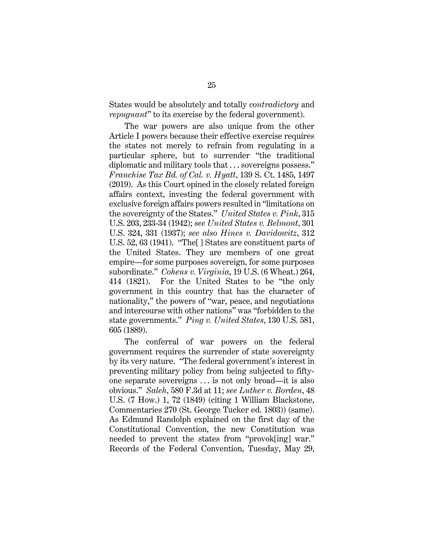States would be absolutely and totally *contradictory* and *repugnant*" to its exercise by the federal government).

The war powers are also unique from the other Article I powers because their effective exercise requires the states not merely to refrain from regulating in a particular sphere, but to surrender "the traditional diplomatic and military tools that . . . sovereigns possess." *Franchise Tax Bd. of Cal. v. Hyatt*, 139 S. Ct. 1485, 1497 (2019). As this Court opined in the closely related foreign affairs context, investing the federal government with exclusive foreign affairs powers resulted in "limitations on the sovereignty of the States." *United States v. Pink*, 315 U.S. 203, 233-34 (1942); *see United States v. Belmont*, 301 U.S. 324, 331 (1937); *see also Hines v. Davidowitz*, 312 U.S. 52, 63 (1941). "The[ ] States are constituent parts of the United States. They are members of one great empire—for some purposes sovereign, for some purposes subordinate." *Cohens v. Virginia*, 19 U.S. (6 Wheat.) 264, 414 (1821). For the United States to be "the only government in this country that has the character of nationality," the powers of "war, peace, and negotiations and intercourse with other nations" was "forbidden to the state governments." *Ping v. United States*, 130 U.S. 581, 605 (1889).

The conferral of war powers on the federal government requires the surrender of state sovereignty by its very nature. "The federal government's interest in preventing military policy from being subjected to fiftyone separate sovereigns . . . is not only broad—it is also obvious." *Saleh*, 580 F.3d at 11; *see Luther v. Borden*, 48 U.S. (7 How.) 1, 72 (1849) (citing 1 William Blackstone, Commentaries 270 (St. George Tucker ed. 1803)) (same). As Edmund Randolph explained on the first day of the Constitutional Convention, the new Constitution was needed to prevent the states from "provok[ing] war." Records of the Federal Convention, Tuesday, May 29,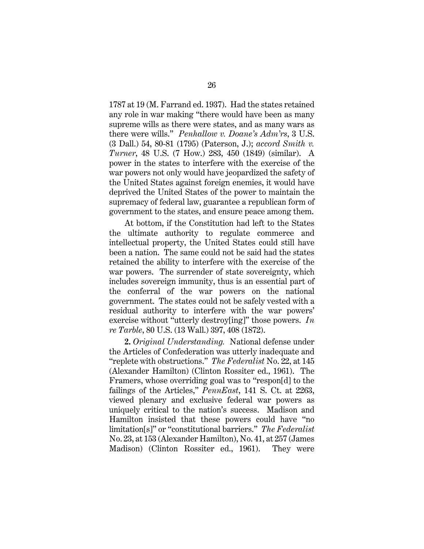1787 at 19 (M. Farrand ed. 1937). Had the states retained any role in war making "there would have been as many supreme wills as there were states, and as many wars as there were wills." *Penhallow v. Doane's Adm'rs*, 3 U.S. (3 Dall.) 54, 80-81 (1795) (Paterson, J.); *accord Smith v. Turner*, 48 U.S. (7 How.) 283, 450 (1849) (similar). A power in the states to interfere with the exercise of the war powers not only would have jeopardized the safety of the United States against foreign enemies, it would have deprived the United States of the power to maintain the supremacy of federal law, guarantee a republican form of government to the states, and ensure peace among them.

At bottom, if the Constitution had left to the States the ultimate authority to regulate commerce and intellectual property, the United States could still have been a nation. The same could not be said had the states retained the ability to interfere with the exercise of the war powers. The surrender of state sovereignty, which includes sovereign immunity, thus is an essential part of the conferral of the war powers on the national government. The states could not be safely vested with a residual authority to interfere with the war powers' exercise without "utterly destroy[ing]" those powers. *In re Tarble*, 80 U.S. (13 Wall.) 397, 408 (1872).

**2.** *Original Understanding.* National defense under the Articles of Confederation was utterly inadequate and "replete with obstructions." *The Federalist* No. 22, at 145 (Alexander Hamilton) (Clinton Rossiter ed., 1961). The Framers, whose overriding goal was to "respon[d] to the failings of the Articles," *PennEast*, 141 S. Ct. at 2263, viewed plenary and exclusive federal war powers as uniquely critical to the nation's success. Madison and Hamilton insisted that these powers could have "no limitation[s]" or "constitutional barriers." *The Federalist* No. 23, at 153 (Alexander Hamilton), No. 41, at 257 (James Madison) (Clinton Rossiter ed., 1961). They were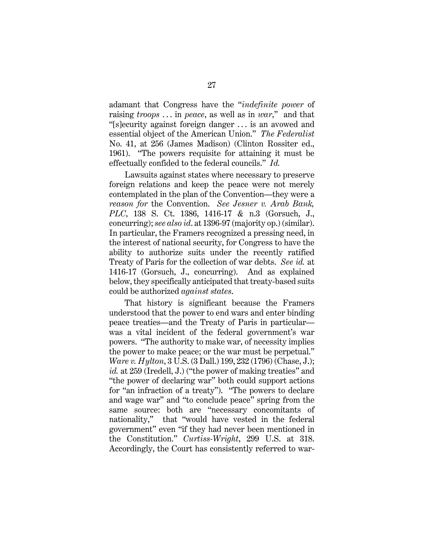adamant that Congress have the "*indefinite power* of raising *troops* . . . in *peace*, as well as in *war*," and that "[s]ecurity against foreign danger . . . is an avowed and essential object of the American Union." *The Federalist* No. 41, at 256 (James Madison) (Clinton Rossiter ed., 1961). "The powers requisite for attaining it must be effectually confided to the federal councils." *Id.*

Lawsuits against states where necessary to preserve foreign relations and keep the peace were not merely contemplated in the plan of the Convention—they were a *reason for* the Convention. *See Jesner v. Arab Bank, PLC*, 138 S. Ct. 1386, 1416-17 & n.3 (Gorsuch, J., concurring); *see also id*. at 1396-97 (majority op.) (similar). In particular, the Framers recognized a pressing need, in the interest of national security, for Congress to have the ability to authorize suits under the recently ratified Treaty of Paris for the collection of war debts. *See id.* at 1416-17 (Gorsuch, J., concurring). And as explained below, they specifically anticipated that treaty-based suits could be authorized *against states*.

That history is significant because the Framers understood that the power to end wars and enter binding peace treaties—and the Treaty of Paris in particular was a vital incident of the federal government's war powers. "The authority to make war, of necessity implies the power to make peace; or the war must be perpetual." *Ware v. Hylton*, 3 U.S. (3 Dall.) 199, 232 (1796) (Chase, J.); *id.* at 259 (Iredell, J.) ("the power of making treaties" and "the power of declaring war" both could support actions for "an infraction of a treaty"). "The powers to declare and wage war" and "to conclude peace" spring from the same source: both are "necessary concomitants of nationality," that "would have vested in the federal government" even "if they had never been mentioned in the Constitution." *Curtiss-Wright*, 299 U.S. at 318. Accordingly, the Court has consistently referred to war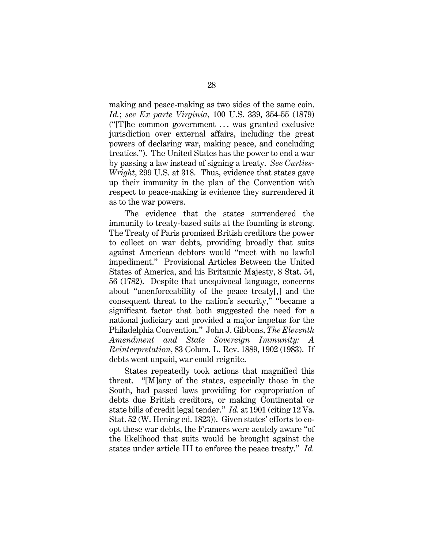making and peace-making as two sides of the same coin. *Id.*; *see Ex parte Virginia*, 100 U.S. 339, 354-55 (1879) ("[T]he common government . . . was granted exclusive jurisdiction over external affairs, including the great powers of declaring war, making peace, and concluding treaties."). The United States has the power to end a war by passing a law instead of signing a treaty. *See Curtiss-Wright*, 299 U.S. at 318. Thus, evidence that states gave up their immunity in the plan of the Convention with respect to peace-making is evidence they surrendered it as to the war powers.

The evidence that the states surrendered the immunity to treaty-based suits at the founding is strong. The Treaty of Paris promised British creditors the power to collect on war debts, providing broadly that suits against American debtors would "meet with no lawful impediment." Provisional Articles Between the United States of America, and his Britannic Majesty, 8 Stat. 54, 56 (1782). Despite that unequivocal language, concerns about "unenforceability of the peace treaty[,] and the consequent threat to the nation's security," "became a significant factor that both suggested the need for a national judiciary and provided a major impetus for the Philadelphia Convention." John J. Gibbons, *The Eleventh Amendment and State Sovereign Immunity: Reinterpretation*, 83 Colum. L. Rev. 1889, 1902 (1983). If debts went unpaid, war could reignite.

States repeatedly took actions that magnified this threat. "[M]any of the states, especially those in the South, had passed laws providing for expropriation of debts due British creditors, or making Continental or state bills of credit legal tender." *Id.* at 1901 (citing 12 Va. Stat. 52 (W. Hening ed. 1823)). Given states' efforts to coopt these war debts, the Framers were acutely aware "of the likelihood that suits would be brought against the states under article III to enforce the peace treaty." *Id.*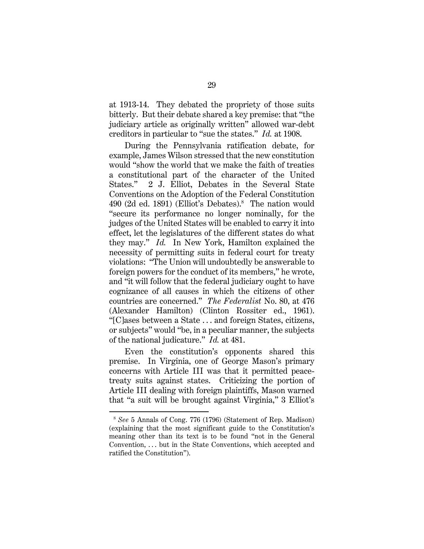at 1913-14. They debated the propriety of those suits bitterly. But their debate shared a key premise: that "the judiciary article as originally written" allowed war-debt creditors in particular to "sue the states." *Id.* at 1908.

During the Pennsylvania ratification debate, for example, James Wilson stressed that the new constitution would "show the world that we make the faith of treaties a constitutional part of the character of the United States." 2 J. Elliot, Debates in the Several State Conventions on the Adoption of the Federal Constitution 490 (2d ed. 1891) (Elliot's Debates).<sup>8</sup> The nation would "secure its performance no longer nominally, for the judges of the United States will be enabled to carry it into effect, let the legislatures of the different states do what they may." *Id.* In New York, Hamilton explained the necessity of permitting suits in federal court for treaty violations: "The Union will undoubtedly be answerable to foreign powers for the conduct of its members," he wrote, and "it will follow that the federal judiciary ought to have cognizance of all causes in which the citizens of other countries are concerned." *The Federalist* No. 80, at 476 (Alexander Hamilton) (Clinton Rossiter ed., 1961). "[C]ases between a State . . . and foreign States, citizens, or subjects" would "be, in a peculiar manner, the subjects of the national judicature." *Id.* at 481.

Even the constitution's opponents shared this premise. In Virginia, one of George Mason's primary concerns with Article III was that it permitted peacetreaty suits against states. Criticizing the portion of Article III dealing with foreign plaintiffs, Mason warned that "a suit will be brought against Virginia," 3 Elliot's

<sup>8</sup> *See* 5 Annals of Cong. 776 (1796) (Statement of Rep. Madison) (explaining that the most significant guide to the Constitution's meaning other than its text is to be found "not in the General Convention, . . . but in the State Conventions, which accepted and ratified the Constitution").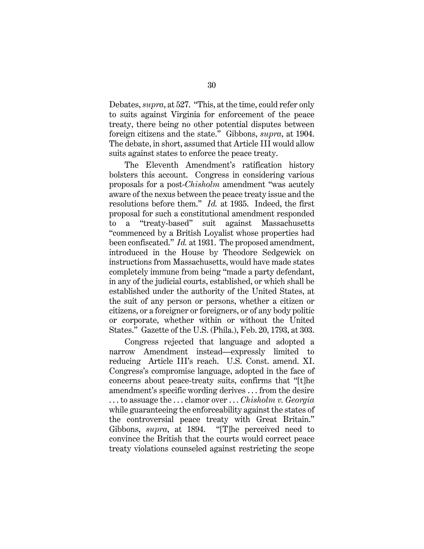Debates, *supra*, at 527. "This, at the time, could refer only to suits against Virginia for enforcement of the peace treaty, there being no other potential disputes between foreign citizens and the state." Gibbons, *supra*, at 1904. The debate, in short, assumed that Article III would allow suits against states to enforce the peace treaty.

The Eleventh Amendment's ratification history bolsters this account. Congress in considering various proposals for a post-*Chisholm* amendment "was acutely aware of the nexus between the peace treaty issue and the resolutions before them." *Id.* at 1935. Indeed, the first proposal for such a constitutional amendment responded to a "treaty-based" suit against Massachusetts "commenced by a British Loyalist whose properties had been confiscated." *Id.* at 1931. The proposed amendment, introduced in the House by Theodore Sedgewick on instructions from Massachusetts, would have made states completely immune from being "made a party defendant, in any of the judicial courts, established, or which shall be established under the authority of the United States, at the suit of any person or persons, whether a citizen or citizens, or a foreigner or foreigners, or of any body politic or corporate, whether within or without the United States." Gazette of the U.S. (Phila.), Feb. 20, 1793, at 303.

Congress rejected that language and adopted a narrow Amendment instead—expressly limited to reducing Article III's reach. U.S. Const. amend. XI. Congress's compromise language, adopted in the face of concerns about peace-treaty suits, confirms that "[t]he amendment's specific wording derives . . . from the desire . . . to assuage the . . . clamor over . . . *Chisholm v. Georgia*  while guaranteeing the enforceability against the states of the controversial peace treaty with Great Britain." Gibbons, *supra*, at 1894. "[T]he perceived need to convince the British that the courts would correct peace treaty violations counseled against restricting the scope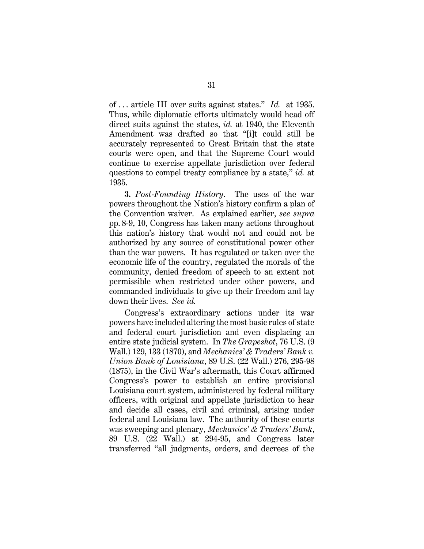of . . . article III over suits against states." *Id.* at 1935. Thus, while diplomatic efforts ultimately would head off direct suits against the states, *id.* at 1940, the Eleventh Amendment was drafted so that "[i]t could still be accurately represented to Great Britain that the state courts were open, and that the Supreme Court would continue to exercise appellate jurisdiction over federal questions to compel treaty compliance by a state," *id.* at 1935.

**3.** *Post-Founding History*. The uses of the war powers throughout the Nation's history confirm a plan of the Convention waiver. As explained earlier, *see supra*  pp. 8-9, 10, Congress has taken many actions throughout this nation's history that would not and could not be authorized by any source of constitutional power other than the war powers. It has regulated or taken over the economic life of the country, regulated the morals of the community, denied freedom of speech to an extent not permissible when restricted under other powers, and commanded individuals to give up their freedom and lay down their lives. *See id.*

Congress's extraordinary actions under its war powers have included altering the most basic rules of state and federal court jurisdiction and even displacing an entire state judicial system. In *The Grapeshot*, 76 U.S. (9 Wall.) 129, 133 (1870), and *Mechanics' & Traders' Bank v. Union Bank of Louisiana*, 89 U.S. (22 Wall.) 276, 295-98 (1875), in the Civil War's aftermath, this Court affirmed Congress's power to establish an entire provisional Louisiana court system, administered by federal military officers, with original and appellate jurisdiction to hear and decide all cases, civil and criminal, arising under federal and Louisiana law. The authority of these courts was sweeping and plenary, *Mechanics' & Traders' Bank*, 89 U.S. (22 Wall.) at 294-95, and Congress later transferred "all judgments, orders, and decrees of the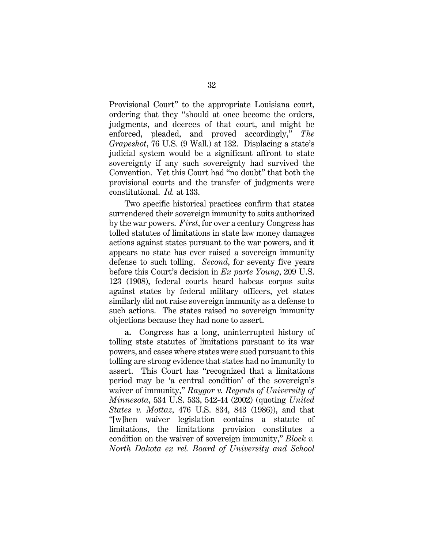Provisional Court" to the appropriate Louisiana court, ordering that they "should at once become the orders, judgments, and decrees of that court, and might be enforced, pleaded, and proved accordingly," *The Grapeshot*, 76 U.S. (9 Wall.) at 132. Displacing a state's judicial system would be a significant affront to state sovereignty if any such sovereignty had survived the Convention. Yet this Court had "no doubt" that both the provisional courts and the transfer of judgments were constitutional. *Id.* at 133.

Two specific historical practices confirm that states surrendered their sovereign immunity to suits authorized by the war powers. *First*, for over a century Congress has tolled statutes of limitations in state law money damages actions against states pursuant to the war powers, and it appears no state has ever raised a sovereign immunity defense to such tolling. *Second*, for seventy five years before this Court's decision in *Ex parte Young*, 209 U.S. 123 (1908), federal courts heard habeas corpus suits against states by federal military officers, yet states similarly did not raise sovereign immunity as a defense to such actions. The states raised no sovereign immunity objections because they had none to assert.

**a.** Congress has a long, uninterrupted history of tolling state statutes of limitations pursuant to its war powers, and cases where states were sued pursuant to this tolling are strong evidence that states had no immunity to assert. This Court has "recognized that a limitations period may be 'a central condition' of the sovereign's waiver of immunity," *Raygor v. Regents of University of Minnesota*, 534 U.S. 533, 542-44 (2002) (quoting *United States v. Mottaz*, 476 U.S. 834, 843 (1986)), and that "[w]hen waiver legislation contains a statute of limitations, the limitations provision constitutes a condition on the waiver of sovereign immunity," *Block v. North Dakota ex rel. Board of University and School*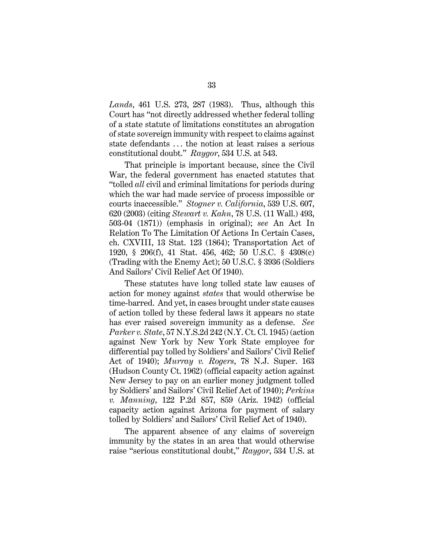*Lands*, 461 U.S. 273, 287 (1983). Thus, although this Court has "not directly addressed whether federal tolling of a state statute of limitations constitutes an abrogation of state sovereign immunity with respect to claims against state defendants . . . the notion at least raises a serious constitutional doubt." *Raygor*, 534 U.S. at 543.

That principle is important because, since the Civil War, the federal government has enacted statutes that "tolled *all* civil and criminal limitations for periods during which the war had made service of process impossible or courts inaccessible." *Stogner v. California*, 539 U.S. 607, 620 (2003) (citing *Stewart v. Kahn*, 78 U.S. (11 Wall.) 493, 503-04 (1871)) (emphasis in original); *see* An Act In Relation To The Limitation Of Actions In Certain Cases, ch. CXVIII, 13 Stat. 123 (1864); Transportation Act of 1920, § 206(f), 41 Stat. 456, 462; 50 U.S.C. § 4308(c) (Trading with the Enemy Act); 50 U.S.C. § 3936 (Soldiers And Sailors' Civil Relief Act Of 1940).

These statutes have long tolled state law causes of action for money against *states* that would otherwise be time-barred. And yet, in cases brought under state causes of action tolled by these federal laws it appears no state has ever raised sovereign immunity as a defense. *See Parker v. State*, 57 N.Y.S.2d 242 (N.Y. Ct. Cl. 1945) (action against New York by New York State employee for differential pay tolled by Soldiers' and Sailors' Civil Relief Act of 1940); *Murray v. Rogers*, 78 N.J. Super. 163 (Hudson County Ct. 1962) (official capacity action against New Jersey to pay on an earlier money judgment tolled by Soldiers' and Sailors' Civil Relief Act of 1940); *Perkins v. Manning*, 122 P.2d 857, 859 (Ariz. 1942) (official capacity action against Arizona for payment of salary tolled by Soldiers' and Sailors' Civil Relief Act of 1940).

The apparent absence of any claims of sovereign immunity by the states in an area that would otherwise raise "serious constitutional doubt," *Raygor*, 534 U.S. at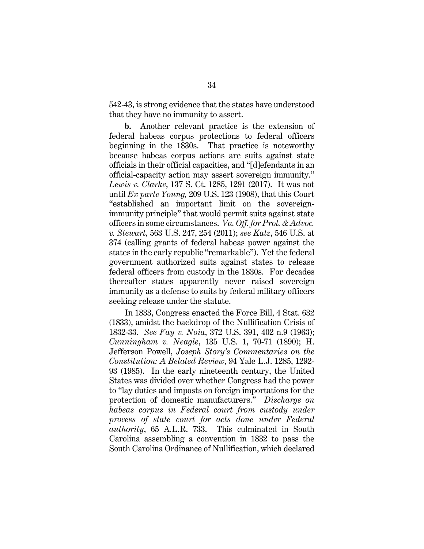542-43, is strong evidence that the states have understood that they have no immunity to assert.

**b.** Another relevant practice is the extension of federal habeas corpus protections to federal officers beginning in the 1830s. That practice is noteworthy because habeas corpus actions are suits against state officials in their official capacities, and "[d]efendants in an official-capacity action may assert sovereign immunity." *Lewis v. Clarke*, 137 S. Ct. 1285, 1291 (2017). It was not until *Ex parte Young,* 209 U.S. 123 (1908), that this Court "established an important limit on the sovereignimmunity principle" that would permit suits against state officers in some circumstances. *Va. Off. for Prot. & Advoc. v. Stewart*, 563 U.S. 247, 254 (2011); *see Katz*, 546 U.S. at 374 (calling grants of federal habeas power against the states in the early republic "remarkable"). Yet the federal government authorized suits against states to release federal officers from custody in the 1830s. For decades thereafter states apparently never raised sovereign immunity as a defense to suits by federal military officers seeking release under the statute.

In 1833, Congress enacted the Force Bill, 4 Stat. 632 (1833), amidst the backdrop of the Nullification Crisis of 1832-33. *See Fay v. Noia*, 372 U.S. 391, 402 n.9 (1963); *Cunningham v. Neagle*, 135 U.S. 1, 70-71 (1890); H. Jefferson Powell, *Joseph Story's Commentaries on the Constitution: A Belated Review*, 94 Yale L.J. 1285, 1292- 93 (1985). In the early nineteenth century, the United States was divided over whether Congress had the power to "lay duties and imposts on foreign importations for the protection of domestic manufacturers." *Discharge on habeas corpus in Federal court from custody under process of state court for acts done under Federal authority*, 65 A.L.R. 733. This culminated in South Carolina assembling a convention in 1832 to pass the South Carolina Ordinance of Nullification, which declared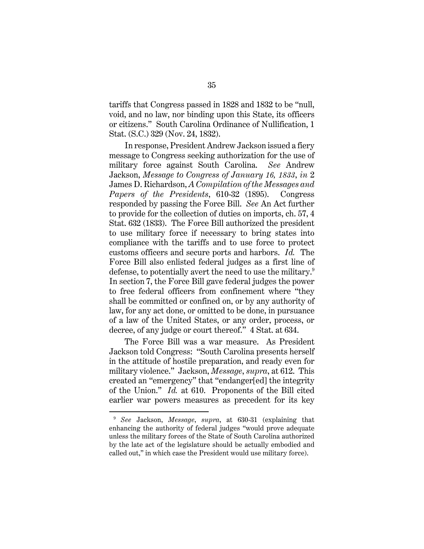tariffs that Congress passed in 1828 and 1832 to be "null, void, and no law, nor binding upon this State, its officers or citizens." South Carolina Ordinance of Nullification, 1 Stat. (S.C.) 329 (Nov. 24, 1832).

In response, President Andrew Jackson issued a fiery message to Congress seeking authorization for the use of military force against South Carolina. *See* Andrew Jackson, *Message to Congress of January 16, 1833*, *in* 2 James D. Richardson, *A Compilation of the Messages and Papers of the Presidents*, 610-32 (1895). Congress responded by passing the Force Bill. *See* An Act further to provide for the collection of duties on imports, ch. 57, 4 Stat. 632 (1833). The Force Bill authorized the president to use military force if necessary to bring states into compliance with the tariffs and to use force to protect customs officers and secure ports and harbors. *Id.* The Force Bill also enlisted federal judges as a first line of defense, to potentially avert the need to use the military.<sup>9</sup> In section 7, the Force Bill gave federal judges the power to free federal officers from confinement where "they shall be committed or confined on, or by any authority of law, for any act done, or omitted to be done, in pursuance of a law of the United States, or any order, process, or decree, of any judge or court thereof." 4 Stat. at 634.

The Force Bill was a war measure. As President Jackson told Congress: "South Carolina presents herself in the attitude of hostile preparation, and ready even for military violence." Jackson, *Message*, *supra*, at 612. This created an "emergency" that "endanger[ed] the integrity of the Union." *Id.* at 610. Proponents of the Bill cited earlier war powers measures as precedent for its key

<sup>9</sup> *See* Jackson, *Message*, *supra*, at 630-31 (explaining that enhancing the authority of federal judges "would prove adequate unless the military forces of the State of South Carolina authorized by the late act of the legislature should be actually embodied and called out," in which case the President would use military force).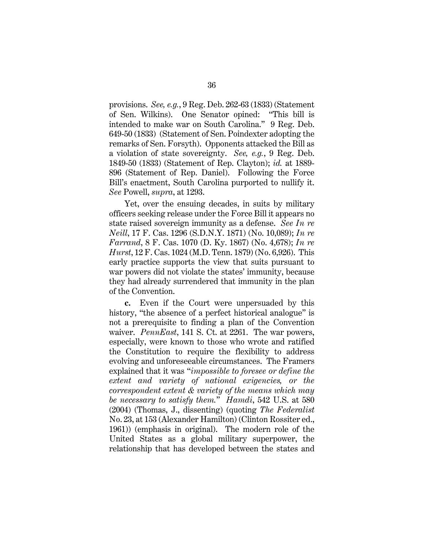provisions. *See, e.g.*, 9 Reg. Deb. 262-63 (1833) (Statement of Sen. Wilkins). One Senator opined: "This bill is intended to make war on South Carolina." 9 Reg. Deb. 649-50 (1833) (Statement of Sen. Poindexter adopting the remarks of Sen. Forsyth). Opponents attacked the Bill as a violation of state sovereignty. *See, e.g.*, 9 Reg. Deb. 1849-50 (1833) (Statement of Rep. Clayton); *id.* at 1889- 896 (Statement of Rep. Daniel). Following the Force Bill's enactment, South Carolina purported to nullify it. *See* Powell, *supra*, at 1293.

Yet, over the ensuing decades, in suits by military officers seeking release under the Force Bill it appears no state raised sovereign immunity as a defense. *See In re Neill*, 17 F. Cas. 1296 (S.D.N.Y. 1871) (No. 10,089); *In re Farrand*, 8 F. Cas. 1070 (D. Ky. 1867) (No. 4,678); *In re Hurst*, 12 F. Cas. 1024 (M.D. Tenn. 1879) (No. 6,926). This early practice supports the view that suits pursuant to war powers did not violate the states' immunity, because they had already surrendered that immunity in the plan of the Convention.

**c.** Even if the Court were unpersuaded by this history, "the absence of a perfect historical analogue" is not a prerequisite to finding a plan of the Convention waiver. *PennEast*, 141 S. Ct. at 2261. The war powers, especially, were known to those who wrote and ratified the Constitution to require the flexibility to address evolving and unforeseeable circumstances. The Framers explained that it was "*impossible to foresee or define the extent and variety of national exigencies, or the correspondent extent & variety of the means which may be necessary to satisfy them.*" *Hamdi*, 542 U.S. at 580 (2004) (Thomas, J., dissenting) (quoting *The Federalist* No. 23, at 153 (Alexander Hamilton) (Clinton Rossiter ed., 1961)) (emphasis in original). The modern role of the United States as a global military superpower, the relationship that has developed between the states and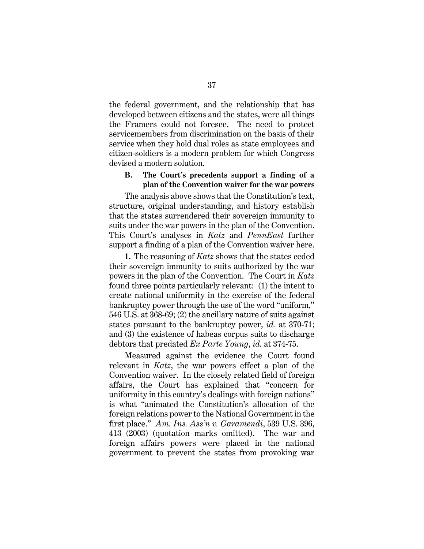the federal government, and the relationship that has developed between citizens and the states, were all things the Framers could not foresee. The need to protect servicemembers from discrimination on the basis of their service when they hold dual roles as state employees and citizen-soldiers is a modern problem for which Congress devised a modern solution.

### **B. The Court's precedents support a finding of a plan of the Convention waiver for the war powers**

The analysis above shows that the Constitution's text, structure, original understanding, and history establish that the states surrendered their sovereign immunity to suits under the war powers in the plan of the Convention. This Court's analyses in *Katz* and *PennEast* further support a finding of a plan of the Convention waiver here.

**1.** The reasoning of *Katz* shows that the states ceded their sovereign immunity to suits authorized by the war powers in the plan of the Convention. The Court in *Katz* found three points particularly relevant: (1) the intent to create national uniformity in the exercise of the federal bankruptcy power through the use of the word "uniform," 546 U.S. at 368-69; (2) the ancillary nature of suits against states pursuant to the bankruptcy power, *id.* at 370-71; and (3) the existence of habeas corpus suits to discharge debtors that predated *Ex Parte Young*, *id.* at 374-75.

Measured against the evidence the Court found relevant in *Katz*, the war powers effect a plan of the Convention waiver. In the closely related field of foreign affairs, the Court has explained that "concern for uniformity in this country's dealings with foreign nations" is what "animated the Constitution's allocation of the foreign relations power to the National Government in the first place." *Am. Ins. Ass'n v. Garamendi*, 539 U.S. 396, 413 (2003) (quotation marks omitted). The war and foreign affairs powers were placed in the national government to prevent the states from provoking war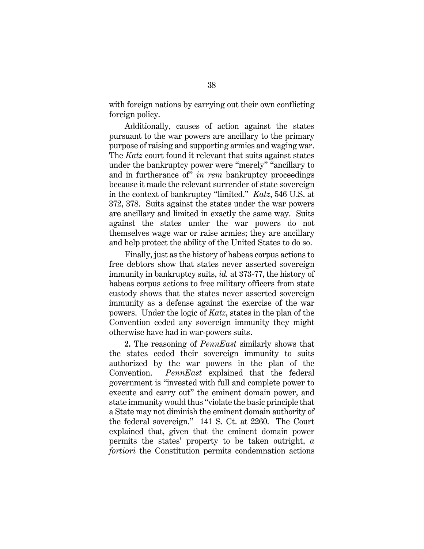with foreign nations by carrying out their own conflicting foreign policy.

Additionally, causes of action against the states pursuant to the war powers are ancillary to the primary purpose of raising and supporting armies and waging war. The *Katz* court found it relevant that suits against states under the bankruptcy power were "merely" "ancillary to and in furtherance of" *in rem* bankruptcy proceedings because it made the relevant surrender of state sovereign in the context of bankruptcy "limited." *Katz*, 546 U.S. at 372, 378. Suits against the states under the war powers are ancillary and limited in exactly the same way. Suits against the states under the war powers do not themselves wage war or raise armies; they are ancillary and help protect the ability of the United States to do so.

Finally, just as the history of habeas corpus actions to free debtors show that states never asserted sovereign immunity in bankruptcy suits, *id.* at 373-77, the history of habeas corpus actions to free military officers from state custody shows that the states never asserted sovereign immunity as a defense against the exercise of the war powers. Under the logic of *Katz*, states in the plan of the Convention ceded any sovereign immunity they might otherwise have had in war-powers suits.

**2.** The reasoning of *PennEast* similarly shows that the states ceded their sovereign immunity to suits authorized by the war powers in the plan of the Convention. *PennEast* explained that the federal government is "invested with full and complete power to execute and carry out" the eminent domain power, and state immunity would thus "violate the basic principle that a State may not diminish the eminent domain authority of the federal sovereign." 141 S. Ct. at 2260. The Court explained that, given that the eminent domain power permits the states' property to be taken outright, *a fortiori* the Constitution permits condemnation actions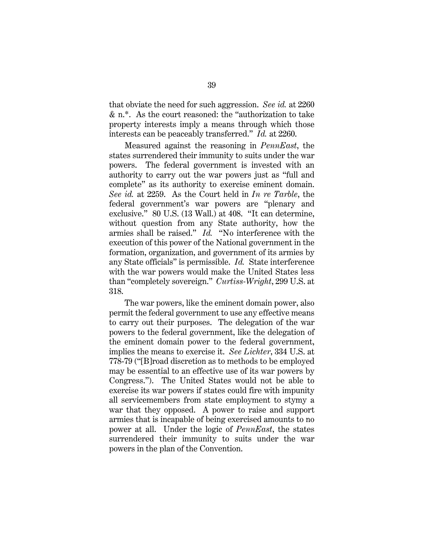that obviate the need for such aggression. *See id.* at 2260 & n.\*. As the court reasoned: the "authorization to take property interests imply a means through which those interests can be peaceably transferred." *Id.* at 2260.

Measured against the reasoning in *PennEast*, the states surrendered their immunity to suits under the war powers. The federal government is invested with an authority to carry out the war powers just as "full and complete" as its authority to exercise eminent domain. *See id.* at 2259. As the Court held in *In re Tarble*, the federal government's war powers are "plenary and exclusive." 80 U.S. (13 Wall.) at 408. "It can determine, without question from any State authority, how the armies shall be raised." *Id.* "No interference with the execution of this power of the National government in the formation, organization, and government of its armies by any State officials" is permissible. *Id.* State interference with the war powers would make the United States less than "completely sovereign." *Curtiss-Wright*, 299 U.S. at 318.

The war powers, like the eminent domain power, also permit the federal government to use any effective means to carry out their purposes. The delegation of the war powers to the federal government, like the delegation of the eminent domain power to the federal government, implies the means to exercise it. *See Lichter*, 334 U.S. at 778-79 ("[B]road discretion as to methods to be employed may be essential to an effective use of its war powers by Congress."). The United States would not be able to exercise its war powers if states could fire with impunity all servicemembers from state employment to stymy a war that they opposed. A power to raise and support armies that is incapable of being exercised amounts to no power at all. Under the logic of *PennEast*, the states surrendered their immunity to suits under the war powers in the plan of the Convention.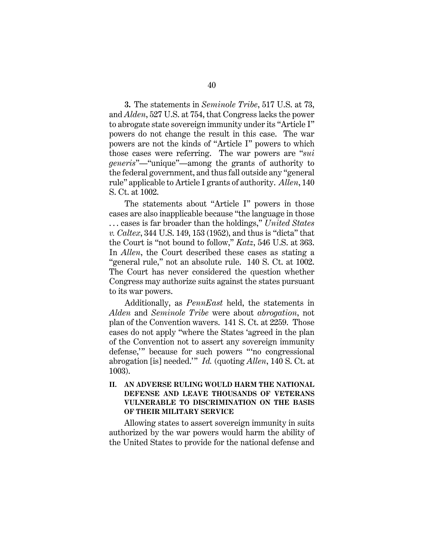**3.** The statements in *Seminole Tribe*, 517 U.S. at 73, and *Alden*, 527 U.S. at 754, that Congress lacks the power to abrogate state sovereign immunity under its "Article I" powers do not change the result in this case. The war powers are not the kinds of "Article I" powers to which those cases were referring. The war powers are "*sui generis*"—"unique"—among the grants of authority to the federal government, and thus fall outside any "general rule" applicable to Article I grants of authority. *Allen*, 140 S. Ct. at 1002.

The statements about "Article I" powers in those cases are also inapplicable because "the language in those . . . cases is far broader than the holdings," *United States v. Caltex*, 344 U.S. 149, 153 (1952), and thus is "dicta" that the Court is "not bound to follow," *Katz*, 546 U.S. at 363. In *Allen*, the Court described these cases as stating a "general rule," not an absolute rule. 140 S. Ct. at 1002. The Court has never considered the question whether Congress may authorize suits against the states pursuant to its war powers.

Additionally, as *PennEast* held, the statements in *Alden* and *Seminole Tribe* were about *abrogation*, not plan of the Convention wavers. 141 S. Ct. at 2259. Those cases do not apply "where the States 'agreed in the plan of the Convention not to assert any sovereign immunity defense,'" because for such powers "'no congressional abrogation [is] needed.'" *Id.* (quoting *Allen*, 140 S. Ct. at 1003).

### **II. AN ADVERSE RULING WOULD HARM THE NATIONAL DEFENSE AND LEAVE THOUSANDS OF VETERANS VULNERABLE TO DISCRIMINATION ON THE BASIS OF THEIR MILITARY SERVICE**

Allowing states to assert sovereign immunity in suits authorized by the war powers would harm the ability of the United States to provide for the national defense and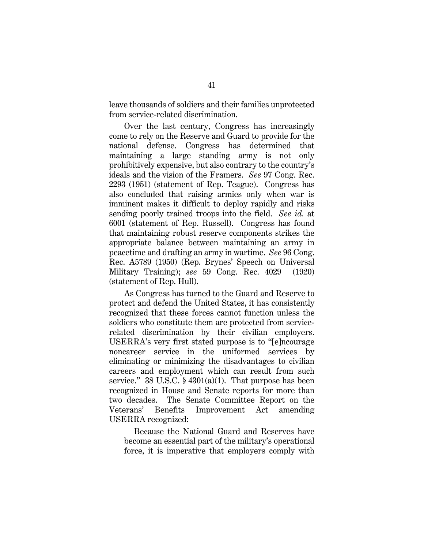leave thousands of soldiers and their families unprotected from service-related discrimination.

Over the last century, Congress has increasingly come to rely on the Reserve and Guard to provide for the national defense. Congress has determined that maintaining a large standing army is not only prohibitively expensive, but also contrary to the country's ideals and the vision of the Framers. *See* 97 Cong. Rec. 2293 (1951) (statement of Rep. Teague). Congress has also concluded that raising armies only when war is imminent makes it difficult to deploy rapidly and risks sending poorly trained troops into the field. *See id.* at 6001 (statement of Rep. Russell). Congress has found that maintaining robust reserve components strikes the appropriate balance between maintaining an army in peacetime and drafting an army in wartime. *See* 96 Cong. Rec. A5789 (1950) (Rep. Brynes' Speech on Universal Military Training); *see* 59 Cong. Rec. 4029 (1920) (statement of Rep. Hull).

As Congress has turned to the Guard and Reserve to protect and defend the United States, it has consistently recognized that these forces cannot function unless the soldiers who constitute them are protected from servicerelated discrimination by their civilian employers. USERRA's very first stated purpose is to "[e]ncourage noncareer service in the uniformed services by eliminating or minimizing the disadvantages to civilian careers and employment which can result from such service."  $38 \text{ U.S.C. } \frac{6}{9} \cdot 4301(a)(1)$ . That purpose has been recognized in House and Senate reports for more than two decades. The Senate Committee Report on the Veterans' Benefits Improvement Act amending USERRA recognized:

Because the National Guard and Reserves have become an essential part of the military's operational force, it is imperative that employers comply with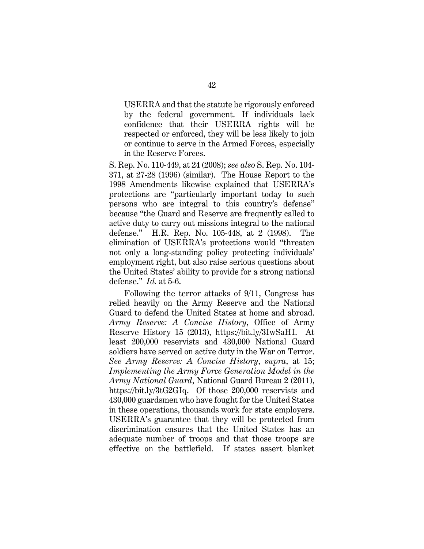USERRA and that the statute be rigorously enforced by the federal government. If individuals lack confidence that their USERRA rights will be respected or enforced, they will be less likely to join or continue to serve in the Armed Forces, especially in the Reserve Forces.

S. Rep. No. 110-449, at 24 (2008); *see also* S. Rep. No. 104- 371, at 27-28 (1996) (similar). The House Report to the 1998 Amendments likewise explained that USERRA's protections are "particularly important today to such persons who are integral to this country's defense" because "the Guard and Reserve are frequently called to active duty to carry out missions integral to the national defense." H.R. Rep. No. 105-448, at 2 (1998). The elimination of USERRA's protections would "threaten not only a long-standing policy protecting individuals' employment right, but also raise serious questions about the United States' ability to provide for a strong national defense." *Id.* at 5-6.

Following the terror attacks of 9/11, Congress has relied heavily on the Army Reserve and the National Guard to defend the United States at home and abroad. *Army Reserve: A Concise History*, Office of Army Reserve History 15 (2013), https://bit.ly/3IwSaHI. At least 200,000 reservists and 430,000 National Guard soldiers have served on active duty in the War on Terror. *See Army Reserve: A Concise History*, *supra*, at 15; *Implementing the Army Force Generation Model in the Army National Guard*, National Guard Bureau 2 (2011), https://bit.ly/3tG2GIq. Of those 200,000 reservists and 430,000 guardsmen who have fought for the United States in these operations, thousands work for state employers. USERRA's guarantee that they will be protected from discrimination ensures that the United States has an adequate number of troops and that those troops are effective on the battlefield. If states assert blanket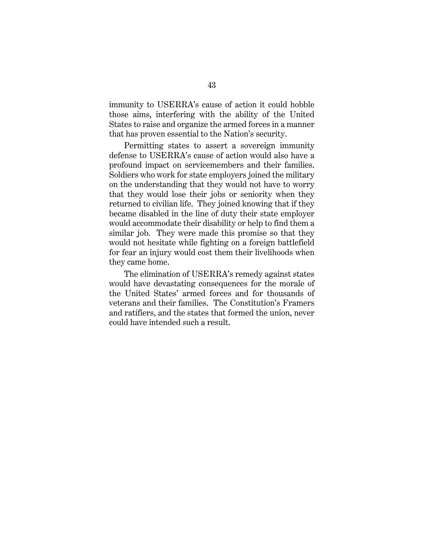immunity to USERRA's cause of action it could hobble those aims, interfering with the ability of the United States to raise and organize the armed forces in a manner that has proven essential to the Nation's security.

Permitting states to assert a sovereign immunity defense to USERRA's cause of action would also have a profound impact on servicemembers and their families. Soldiers who work for state employers joined the military on the understanding that they would not have to worry that they would lose their jobs or seniority when they returned to civilian life. They joined knowing that if they became disabled in the line of duty their state employer would accommodate their disability or help to find them a similar job. They were made this promise so that they would not hesitate while fighting on a foreign battlefield for fear an injury would cost them their livelihoods when they came home.

The elimination of USERRA's remedy against states would have devastating consequences for the morale of the United States' armed forces and for thousands of veterans and their families. The Constitution's Framers and ratifiers, and the states that formed the union, never could have intended such a result.